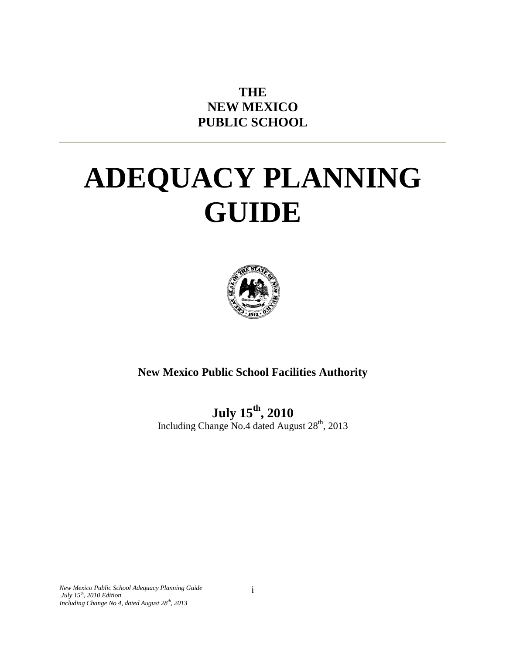# **THE NEW MEXICO PUBLIC SCHOOL**

# **ADEQUACY PLANNING GUIDE**



**New Mexico Public School Facilities Authority**

**July 15th, 2010** Including Change No.4 dated August 28<sup>th</sup>, 2013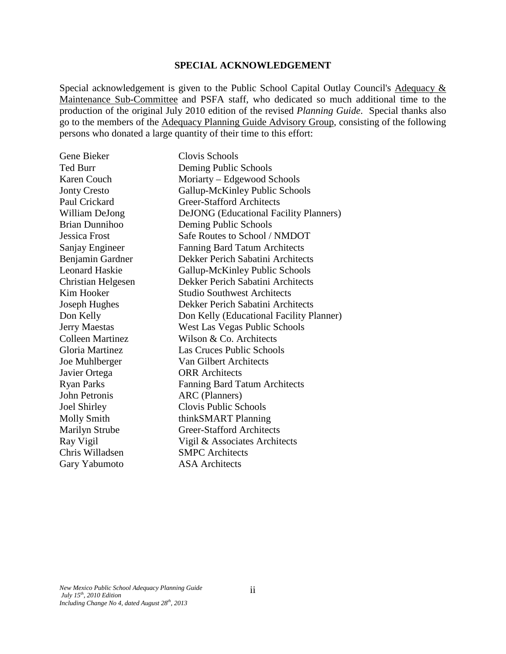#### **SPECIAL ACKNOWLEDGEMENT**

Special acknowledgement is given to the Public School Capital Outlay Council's Adequacy & Maintenance Sub-Committee and PSFA staff, who dedicated so much additional time to the production of the original July 2010 edition of the revised *Planning Guide*. Special thanks also go to the members of the Adequacy Planning Guide Advisory Group, consisting of the following persons who donated a large quantity of their time to this effort:

| Gene Bieker             | Clovis Schools                                |
|-------------------------|-----------------------------------------------|
| <b>Ted Burr</b>         | Deming Public Schools                         |
| <b>Karen Couch</b>      | Moriarty – Edgewood Schools                   |
| <b>Jonty Cresto</b>     | Gallup-McKinley Public Schools                |
| Paul Crickard           | <b>Greer-Stafford Architects</b>              |
| William DeJong          | <b>DeJONG</b> (Educational Facility Planners) |
| <b>Brian Dunnihoo</b>   | Deming Public Schools                         |
| <b>Jessica Frost</b>    | Safe Routes to School / NMDOT                 |
| Sanjay Engineer         | Fanning Bard Tatum Architects                 |
| Benjamin Gardner        | Dekker Perich Sabatini Architects             |
| <b>Leonard Haskie</b>   | Gallup-McKinley Public Schools                |
| Christian Helgesen      | Dekker Perich Sabatini Architects             |
| Kim Hooker              | <b>Studio Southwest Architects</b>            |
| Joseph Hughes           | Dekker Perich Sabatini Architects             |
| Don Kelly               | Don Kelly (Educational Facility Planner)      |
| <b>Jerry Maestas</b>    | West Las Vegas Public Schools                 |
| <b>Colleen Martinez</b> | Wilson & Co. Architects                       |
| <b>Gloria Martinez</b>  | Las Cruces Public Schools                     |
| Joe Muhlberger          | Van Gilbert Architects                        |
| Javier Ortega           | <b>ORR</b> Architects                         |
| <b>Ryan Parks</b>       | <b>Fanning Bard Tatum Architects</b>          |
| John Petronis           | ARC (Planners)                                |
| <b>Joel Shirley</b>     | Clovis Public Schools                         |
| <b>Molly Smith</b>      | thinkSMART Planning                           |
| Marilyn Strube          | <b>Greer-Stafford Architects</b>              |
| Ray Vigil               | Vigil & Associates Architects                 |
| Chris Willadsen         | <b>SMPC</b> Architects                        |
| Gary Yabumoto           | <b>ASA</b> Architects                         |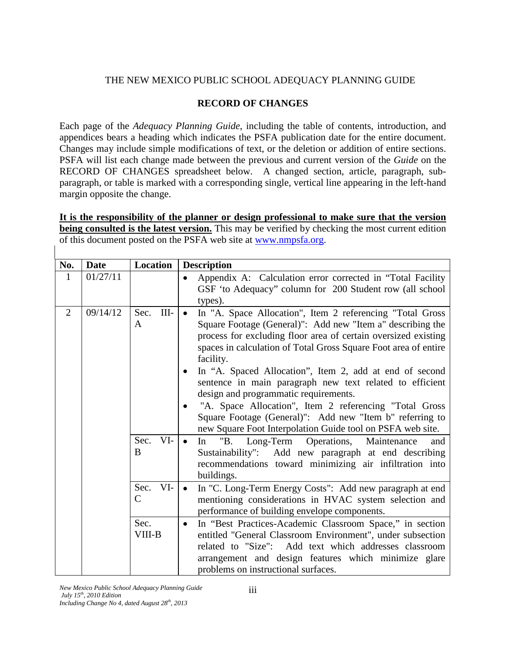## THE NEW MEXICO PUBLIC SCHOOL ADEQUACY PLANNING GUIDE

#### **RECORD OF CHANGES**

Each page of the *Adequacy Planning Guide*, including the table of contents, introduction, and appendices bears a heading which indicates the PSFA publication date for the entire document. Changes may include simple modifications of text, or the deletion or addition of entire sections. PSFA will list each change made between the previous and current version of the *Guide* on the RECORD OF CHANGES spreadsheet below. A changed section, article, paragraph, subparagraph, or table is marked with a corresponding single, vertical line appearing in the left-hand margin opposite the change.

**It is the responsibility of the planner or design professional to make sure that the version being consulted is the latest version.** This may be verified by checking the most current edition of this document posted on the PSFA web site at [www.nmpsfa.org.](http://www.nmpsfa.org/)

| No. | <b>Date</b> | Location                         | <b>Description</b>                                                                                                                                                                                                                                                                                                                                                                                                                                                                                                                                                                                                                                                                             |  |
|-----|-------------|----------------------------------|------------------------------------------------------------------------------------------------------------------------------------------------------------------------------------------------------------------------------------------------------------------------------------------------------------------------------------------------------------------------------------------------------------------------------------------------------------------------------------------------------------------------------------------------------------------------------------------------------------------------------------------------------------------------------------------------|--|
| 1   | 01/27/11    |                                  | Appendix A: Calculation error corrected in "Total Facility"<br>$\bullet$<br>GSF 'to Adequacy'' column for 200 Student row (all school<br>types).                                                                                                                                                                                                                                                                                                                                                                                                                                                                                                                                               |  |
| 2   | 09/14/12    | $III -$<br>Sec.<br>A<br>Sec. VI- | In "A. Space Allocation", Item 2 referencing "Total Gross<br>Square Footage (General)": Add new "Item a" describing the<br>process for excluding floor area of certain oversized existing<br>spaces in calculation of Total Gross Square Foot area of entire<br>facility.<br>In "A. Spaced Allocation", Item 2, add at end of second<br>sentence in main paragraph new text related to efficient<br>design and programmatic requirements.<br>"A. Space Allocation", Item 2 referencing "Total Gross"<br>Square Footage (General)": Add new "Item b" referring to<br>new Square Foot Interpolation Guide tool on PSFA web site.<br>In "B. Long-Term Operations, Maintenance<br>$\bullet$<br>and |  |
|     |             | B                                | Sustainability": Add new paragraph at end describing<br>recommendations toward minimizing air infiltration into<br>buildings.                                                                                                                                                                                                                                                                                                                                                                                                                                                                                                                                                                  |  |
|     |             | VI-<br>Sec.<br>$\mathcal{C}$     | In "C. Long-Term Energy Costs": Add new paragraph at end<br>$\bullet$<br>mentioning considerations in HVAC system selection and<br>performance of building envelope components.                                                                                                                                                                                                                                                                                                                                                                                                                                                                                                                |  |
|     |             | Sec.<br>VIII-B                   | In "Best Practices-Academic Classroom Space," in section<br>$\bullet$<br>entitled "General Classroom Environment", under subsection<br>related to "Size": Add text which addresses classroom<br>arrangement and design features which minimize glare<br>problems on instructional surfaces.                                                                                                                                                                                                                                                                                                                                                                                                    |  |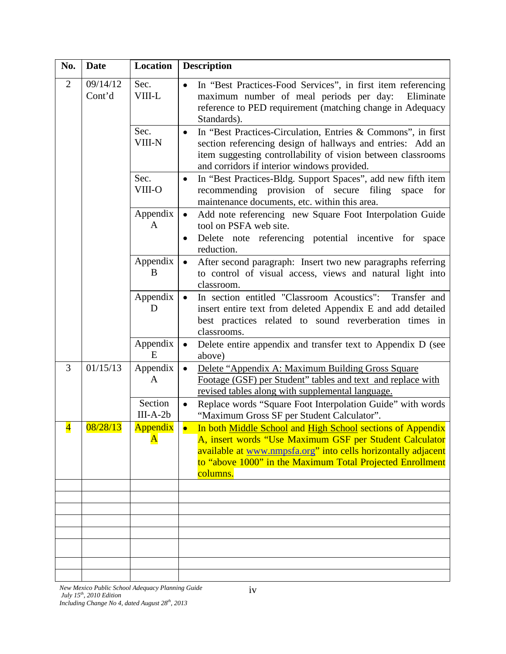| No.                     | <b>Date</b>        | Location                | <b>Description</b>                                                                                                                                                                                                                                              |  |
|-------------------------|--------------------|-------------------------|-----------------------------------------------------------------------------------------------------------------------------------------------------------------------------------------------------------------------------------------------------------------|--|
| $\overline{2}$          | 09/14/12<br>Cont'd | Sec.<br>VIII-L          | In "Best Practices-Food Services", in first item referencing<br>$\bullet$<br>maximum number of meal periods per day:<br>Eliminate<br>reference to PED requirement (matching change in Adequacy<br>Standards).                                                   |  |
|                         |                    | Sec.<br><b>VIII-N</b>   | In "Best Practices-Circulation, Entries & Commons", in first<br>$\bullet$<br>section referencing design of hallways and entries: Add an<br>item suggesting controllability of vision between classrooms<br>and corridors if interior windows provided.          |  |
|                         |                    | Sec.<br>VIII-O          | In "Best Practices-Bldg. Support Spaces", add new fifth item<br>$\bullet$<br>recommending provision of secure filing<br>space for<br>maintenance documents, etc. within this area.                                                                              |  |
|                         |                    | Appendix<br>A           | Add note referencing new Square Foot Interpolation Guide<br>$\bullet$<br>tool on PSFA web site.<br>Delete note referencing potential incentive for<br>space<br>reduction.                                                                                       |  |
|                         |                    | Appendix<br>B           | After second paragraph: Insert two new paragraphs referring<br>to control of visual access, views and natural light into<br>classroom.                                                                                                                          |  |
|                         |                    | Appendix<br>D           | In section entitled "Classroom Acoustics":<br>Transfer and<br>insert entire text from deleted Appendix E and add detailed<br>best practices related to sound reverberation times in<br>classrooms.                                                              |  |
|                         |                    | Appendix<br>E           | Delete entire appendix and transfer text to Appendix D (see<br>$\bullet$<br>above)                                                                                                                                                                              |  |
| 3                       | 01/15/13           | Appendix<br>A           | Delete "Appendix A: Maximum Building Gross Square<br>$\bullet$<br>Footage (GSF) per Student" tables and text and replace with<br>revised tables along with supplemental language.                                                                               |  |
|                         |                    | Section<br>$III-A-2b$   | Replace words "Square Foot Interpolation Guide" with words<br>$\bullet$<br>"Maximum Gross SF per Student Calculator".                                                                                                                                           |  |
| $\overline{\mathbf{4}}$ | 08/28/13           | Appendix  <br>${\bf A}$ | In both Middle School and High School sections of Appendix<br>A, insert words "Use Maximum GSF per Student Calculator<br>available at www.nmpsfa.org" into cells horizontally adjacent<br>to "above 1000" in the Maximum Total Projected Enrollment<br>columns. |  |
|                         |                    |                         |                                                                                                                                                                                                                                                                 |  |
|                         |                    |                         |                                                                                                                                                                                                                                                                 |  |
|                         |                    |                         |                                                                                                                                                                                                                                                                 |  |
|                         |                    |                         |                                                                                                                                                                                                                                                                 |  |
|                         |                    |                         |                                                                                                                                                                                                                                                                 |  |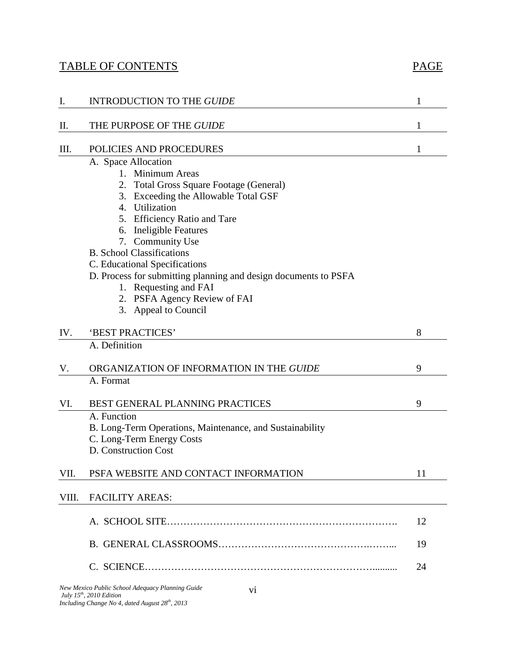# TABLE OF CONTENTS PAGE

| I.    | <b>INTRODUCTION TO THE GUIDE</b>                                                                                                                                                                                                                                                                                                                                                                                                                    | 1              |
|-------|-----------------------------------------------------------------------------------------------------------------------------------------------------------------------------------------------------------------------------------------------------------------------------------------------------------------------------------------------------------------------------------------------------------------------------------------------------|----------------|
| Π.    | THE PURPOSE OF THE GUIDE                                                                                                                                                                                                                                                                                                                                                                                                                            | 1              |
| III.  | POLICIES AND PROCEDURES                                                                                                                                                                                                                                                                                                                                                                                                                             | 1              |
|       | A. Space Allocation<br>1. Minimum Areas<br>2. Total Gross Square Footage (General)<br>3. Exceeding the Allowable Total GSF<br>4. Utilization<br>5. Efficiency Ratio and Tare<br>6. Ineligible Features<br>7. Community Use<br><b>B.</b> School Classifications<br>C. Educational Specifications<br>D. Process for submitting planning and design documents to PSFA<br>1. Requesting and FAI<br>2. PSFA Agency Review of FAI<br>3. Appeal to Council |                |
| IV.   | 'BEST PRACTICES'                                                                                                                                                                                                                                                                                                                                                                                                                                    | 8              |
| V.    | A. Definition<br>ORGANIZATION OF INFORMATION IN THE GUIDE<br>A. Format                                                                                                                                                                                                                                                                                                                                                                              | 9              |
| VI.   | BEST GENERAL PLANNING PRACTICES<br>A. Function<br>B. Long-Term Operations, Maintenance, and Sustainability<br>C. Long-Term Energy Costs<br>D. Construction Cost                                                                                                                                                                                                                                                                                     | 9              |
| VII.  | PSFA WEBSITE AND CONTACT INFORMATION                                                                                                                                                                                                                                                                                                                                                                                                                | 11             |
| VIII. | <b>FACILITY AREAS:</b>                                                                                                                                                                                                                                                                                                                                                                                                                              |                |
|       |                                                                                                                                                                                                                                                                                                                                                                                                                                                     | 12<br>19<br>24 |
|       | New Mexico Public School Adequacy Planning Guide<br>V <sub>1</sub>                                                                                                                                                                                                                                                                                                                                                                                  |                |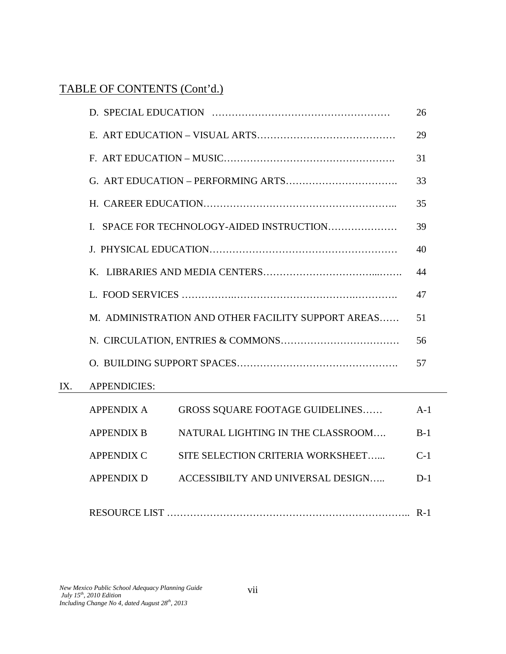# TABLE OF CONTENTS (Cont'd.)

|                                                          |                                                        | 26    |
|----------------------------------------------------------|--------------------------------------------------------|-------|
|                                                          |                                                        | 29    |
|                                                          |                                                        | 31    |
|                                                          |                                                        | 33    |
|                                                          |                                                        | 35    |
|                                                          | SPACE FOR TECHNOLOGY-AIDED INSTRUCTION<br>L            | 39    |
|                                                          |                                                        | 40    |
|                                                          |                                                        | 44    |
| 47                                                       |                                                        |       |
| M. ADMINISTRATION AND OTHER FACILITY SUPPORT AREAS<br>51 |                                                        |       |
|                                                          |                                                        |       |
| 57                                                       |                                                        |       |
|                                                          | <b>APPENDICIES:</b>                                    |       |
|                                                          | <b>APPENDIX A</b><br>GROSS SQUARE FOOTAGE GUIDELINES   | $A-1$ |
|                                                          | NATURAL LIGHTING IN THE CLASSROOM<br><b>APPENDIX B</b> | $B-1$ |
|                                                          | <b>APPENDIX C</b><br>SITE SELECTION CRITERIA WORKSHEET | $C-1$ |
|                                                          | <b>APPENDIX D</b><br>ACCESSIBILTY AND UNIVERSAL DESIGN | $D-1$ |
|                                                          |                                                        |       |

IX.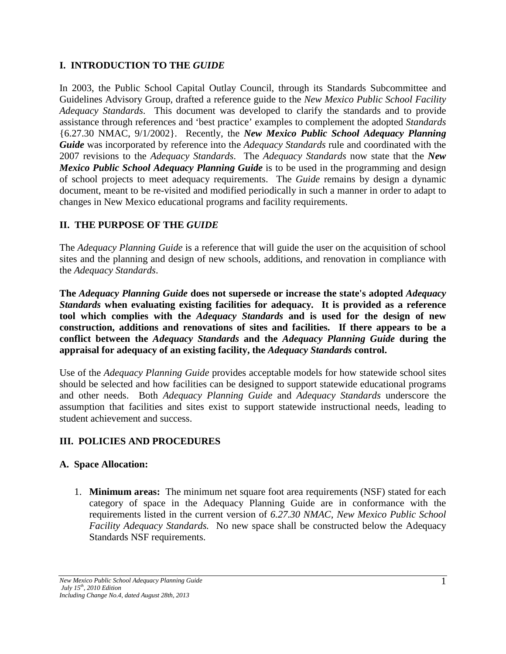## **I. INTRODUCTION TO THE** *GUIDE*

In 2003, the Public School Capital Outlay Council, through its Standards Subcommittee and Guidelines Advisory Group, drafted a reference guide to the *New Mexico Public School Facility Adequacy Standards*. This document was developed to clarify the standards and to provide assistance through references and 'best practice' examples to complement the adopted *Standards* {6.27.30 NMAC, 9/1/2002}. Recently, the *New Mexico Public School Adequacy Planning Guide* was incorporated by reference into the *Adequacy Standards* rule and coordinated with the 2007 revisions to the *Adequacy Standards*. The *Adequacy Standards* now state that the *New Mexico Public School Adequacy Planning Guide* is to be used in the programming and design of school projects to meet adequacy requirements. The *Guide* remains by design a dynamic document, meant to be re-visited and modified periodically in such a manner in order to adapt to changes in New Mexico educational programs and facility requirements.

## **II. THE PURPOSE OF THE** *GUIDE*

The *Adequacy Planning Guide* is a reference that will guide the user on the acquisition of school sites and the planning and design of new schools, additions, and renovation in compliance with the *Adequacy Standards*.

**The** *Adequacy Planning Guide* **does not supersede or increase the state's adopted** *Adequacy Standards* **when evaluating existing facilities for adequacy***.* **It is provided as a reference tool which complies with the** *Adequacy Standards* **and is used for the design of new construction, additions and renovations of sites and facilities. If there appears to be a conflict between the** *Adequacy Standards* **and the** *Adequacy Planning Guide* **during the appraisal for adequacy of an existing facility, the** *Adequacy Standards* **control.**

Use of the *Adequacy Planning Guide* provides acceptable models for how statewide school sites should be selected and how facilities can be designed to support statewide educational programs and other needs. Both *Adequacy Planning Guide* and *Adequacy Standards* underscore the assumption that facilities and sites exist to support statewide instructional needs, leading to student achievement and success.

#### **III. POLICIES AND PROCEDURES**

#### **A. Space Allocation:**

1. **Minimum areas:** The minimum net square foot area requirements (NSF) stated for each category of space in the Adequacy Planning Guide are in conformance with the requirements listed in the current version of *6.27.30 NMAC, New Mexico Public School Facility Adequacy Standards.* No new space shall be constructed below the Adequacy Standards NSF requirements.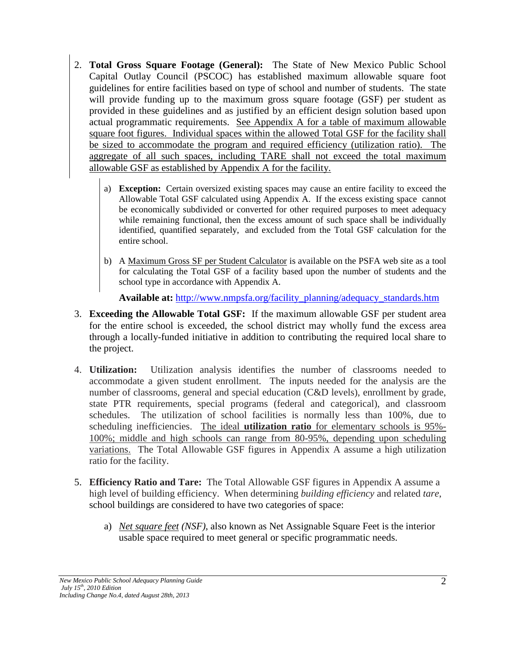- 2. **Total Gross Square Footage (General):** The State of New Mexico Public School Capital Outlay Council (PSCOC) has established maximum allowable square foot guidelines for entire facilities based on type of school and number of students. The state will provide funding up to the maximum gross square footage (GSF) per student as provided in these guidelines and as justified by an efficient design solution based upon actual programmatic requirements. See Appendix A for a table of maximum allowable square foot figures. Individual spaces within the allowed Total GSF for the facility shall be sized to accommodate the program and required efficiency (utilization ratio). The aggregate of all such spaces, including TARE shall not exceed the total maximum allowable GSF as established by Appendix A for the facility.
	- a) **Exception:** Certain oversized existing spaces may cause an entire facility to exceed the Allowable Total GSF calculated using Appendix A. If the excess existing space cannot be economically subdivided or converted for other required purposes to meet adequacy while remaining functional, then the excess amount of such space shall be individually identified, quantified separately, and excluded from the Total GSF calculation for the entire school.
	- b) A [Maximum](http://www.nmpsfa.org/pdf/planning/adequacy/SF_InterpolationGuide.xlsx) Gross SF per Student Calculator is available on the PSFA web site as a tool for calculating the Total GSF of a facility based upon the number of students and the school type in accordance with Appendix A.

**Available at:** [http://www.nmpsfa.org/facility\\_planning/adequacy\\_standards.htm](http://www.nmpsfa.org/facility_planning/adequacy_standards.htm)

- 3. **Exceeding the Allowable Total GSF:** If the maximum allowable GSF per student area for the entire school is exceeded, the school district may wholly fund the excess area through a locally-funded initiative in addition to contributing the required local share to the project.
- 4. **Utilization:** Utilization analysis identifies the number of classrooms needed to accommodate a given student enrollment. The inputs needed for the analysis are the number of classrooms, general and special education (C&D levels), enrollment by grade, state PTR requirements, special programs (federal and categorical), and classroom schedules. The utilization of school facilities is normally less than 100%, due to scheduling inefficiencies. The ideal **utilization ratio** for elementary schools is 95%- 100%; middle and high schools can range from 80-95%, depending upon scheduling variations. The Total Allowable GSF figures in Appendix A assume a high utilization ratio for the facility.
- 5. **Efficiency Ratio and Tare:** The Total Allowable GSF figures in Appendix A assume a high level of building efficiency. When determining *building efficiency* and related *tare*, school buildings are considered to have two categories of space:
	- a) *Net square feet (NSF)*, also known as Net Assignable Square Feet is the interior usable space required to meet general or specific programmatic needs.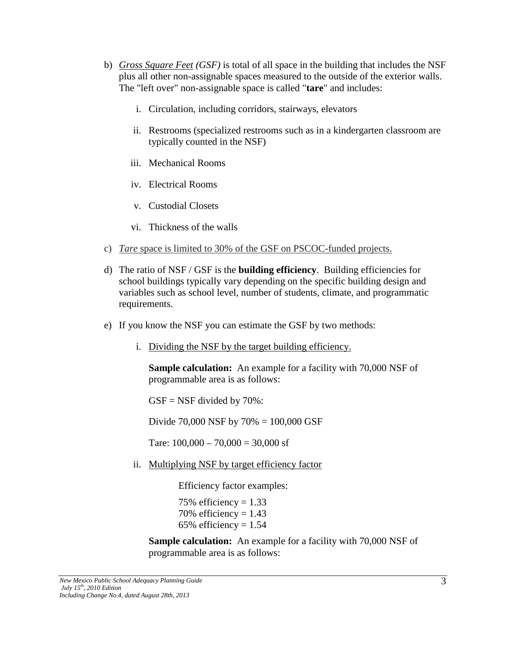- b) *Gross Square Feet (GSF)* is total of all space in the building that includes the NSF plus all other non-assignable spaces measured to the outside of the exterior walls. The "left over" non-assignable space is called "**tare**" and includes:
	- i. Circulation, including corridors, stairways, elevators
	- ii. Restrooms (specialized restrooms such as in a kindergarten classroom are typically counted in the NSF)
	- iii. Mechanical Rooms
	- iv. Electrical Rooms
	- v. Custodial Closets
	- vi. Thickness of the walls
- c) *Tare* space is limited to 30% of the GSF on PSCOC-funded projects.
- d) The ratio of NSF / GSF is the **building efficiency**. Building efficiencies for school buildings typically vary depending on the specific building design and variables such as school level, number of students, climate, and programmatic requirements.
- e) If you know the NSF you can estimate the GSF by two methods:
	- i. Dividing the NSF by the target building efficiency.

**Sample calculation:** An example for a facility with 70,000 NSF of programmable area is as follows:

 $GSF = NSF$  divided by 70%:

Divide 70,000 NSF by 70% = 100,000 GSF

Tare:  $100,000 - 70,000 = 30,000$  sf

ii. Multiplying NSF by target efficiency factor

Efficiency factor examples:

75% efficiency =  $1.33$ 70% efficiency =  $1.43$ 65% efficiency =  $1.54$ 

**Sample calculation:** An example for a facility with 70,000 NSF of programmable area is as follows: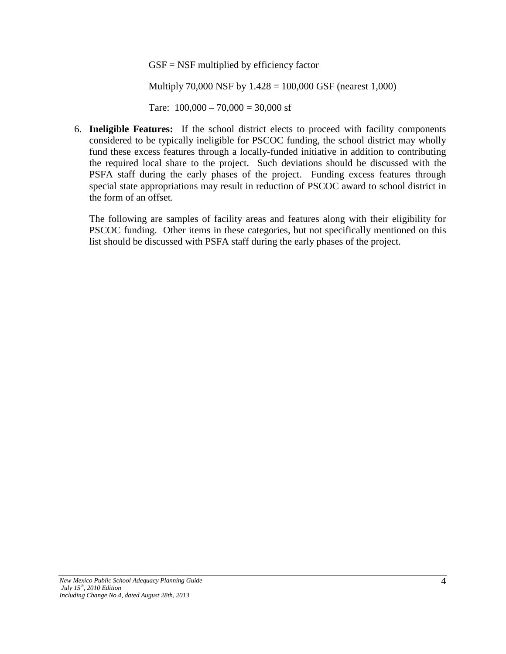$GSF = NSF$  multiplied by efficiency factor

Multiply 70,000 NSF by 1.428 = 100,000 GSF (nearest 1,000)

Tare:  $100,000 - 70,000 = 30,000$  sf

6. **Ineligible Features:** If the school district elects to proceed with facility components considered to be typically ineligible for PSCOC funding, the school district may wholly fund these excess features through a locally-funded initiative in addition to contributing the required local share to the project. Such deviations should be discussed with the PSFA staff during the early phases of the project. Funding excess features through special state appropriations may result in reduction of PSCOC award to school district in the form of an offset.

The following are samples of facility areas and features along with their eligibility for PSCOC funding. Other items in these categories, but not specifically mentioned on this list should be discussed with PSFA staff during the early phases of the project.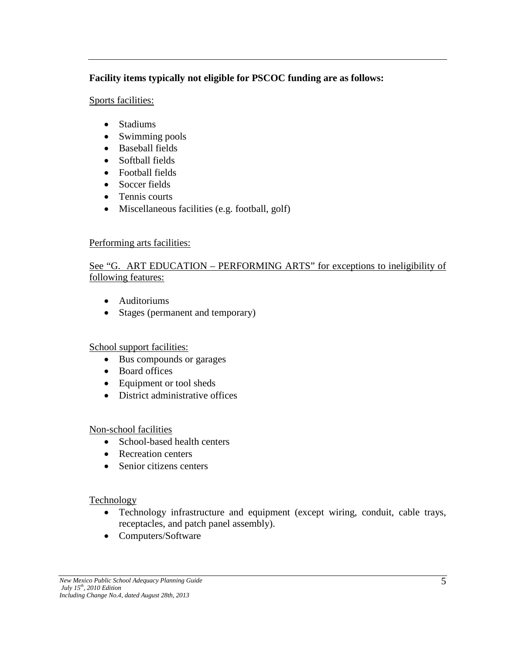## **Facility items typically not eligible for PSCOC funding are as follows:**

#### Sports facilities:

- Stadiums
- Swimming pools
- Baseball fields
- Softball fields
- Football fields
- Soccer fields
- Tennis courts
- Miscellaneous facilities (e.g. football, golf)

#### Performing arts facilities:

## See "G. ART EDUCATION – PERFORMING ARTS" for exceptions to ineligibility of following features:

- Auditoriums
- Stages (permanent and temporary)

#### School support facilities:

- Bus compounds or garages
- Board offices
- Equipment or tool sheds
- District administrative offices

#### Non-school facilities

- School-based health centers
- Recreation centers
- Senior citizens centers

#### Technology

- Technology infrastructure and equipment (except wiring, conduit, cable trays, receptacles, and patch panel assembly).
- Computers/Software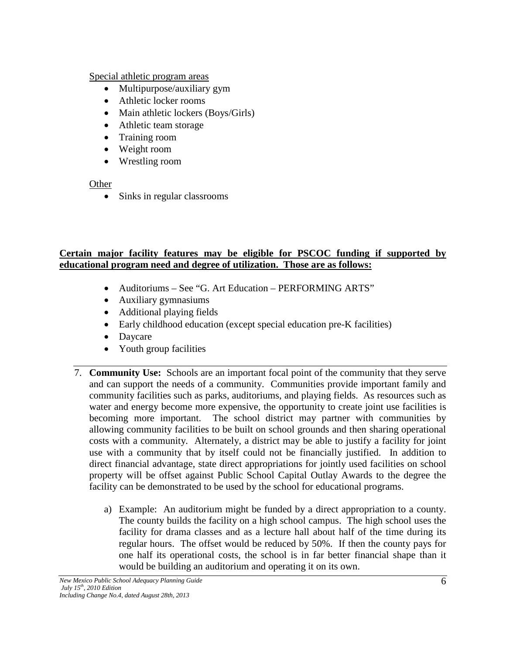#### Special athletic program areas

- Multipurpose/auxiliary gym
- Athletic locker rooms
- Main athletic lockers (Boys/Girls)
- Athletic team storage
- Training room
- Weight room
- Wrestling room

#### **Other**

• Sinks in regular classrooms

# **Certain major facility features may be eligible for PSCOC funding if supported by educational program need and degree of utilization. Those are as follows:**

- Auditoriums See "G. Art Education PERFORMING ARTS"
- Auxiliary gymnasiums
- Additional playing fields
- Early childhood education (except special education pre-K facilities)
- Daycare
- Youth group facilities
- 7. **Community Use:** Schools are an important focal point of the community that they serve and can support the needs of a community. Communities provide important family and community facilities such as parks, auditoriums, and playing fields. As resources such as water and energy become more expensive, the opportunity to create joint use facilities is becoming more important. The school district may partner with communities by allowing community facilities to be built on school grounds and then sharing operational costs with a community. Alternately, a district may be able to justify a facility for joint use with a community that by itself could not be financially justified. In addition to direct financial advantage, state direct appropriations for jointly used facilities on school property will be offset against Public School Capital Outlay Awards to the degree the facility can be demonstrated to be used by the school for educational programs.
	- a) Example: An auditorium might be funded by a direct appropriation to a county. The county builds the facility on a high school campus. The high school uses the facility for drama classes and as a lecture hall about half of the time during its regular hours. The offset would be reduced by 50%. If then the county pays for one half its operational costs, the school is in far better financial shape than it would be building an auditorium and operating it on its own.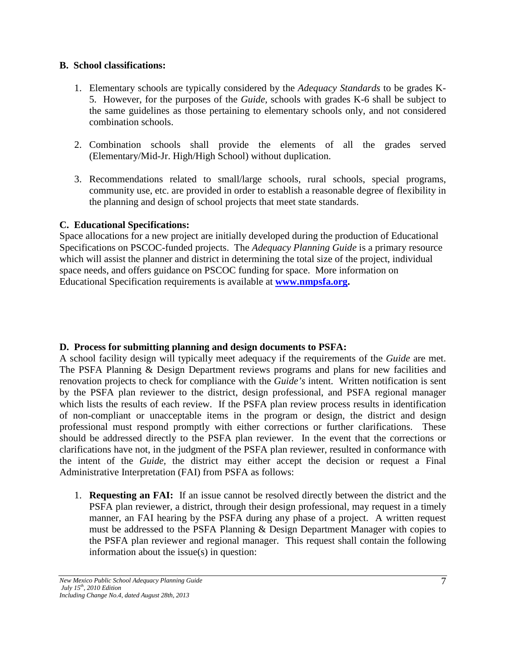#### **B. School classifications:**

- 1. Elementary schools are typically considered by the *Adequacy Standards* to be grades K-5. However, for the purposes of the *Guide,* schools with grades K-6 shall be subject to the same guidelines as those pertaining to elementary schools only, and not considered combination schools.
- 2. Combination schools shall provide the elements of all the grades served (Elementary/Mid-Jr. High/High School) without duplication.
- 3. Recommendations related to small/large schools, rural schools, special programs, community use, etc. are provided in order to establish a reasonable degree of flexibility in the planning and design of school projects that meet state standards.

## **C. Educational Specifications:**

Space allocations for a new project are initially developed during the production of Educational Specifications on PSCOC-funded projects. The *Adequacy Planning Guide* is a primary resource which will assist the planner and district in determining the total size of the project, individual space needs, and offers guidance on PSCOC funding for space. More information on Educational Specification requirements is available at **[www.nmpsfa.org.](http://www.nmpsfa.org/)**

# **D. Process for submitting planning and design documents to PSFA:**

A school facility design will typically meet adequacy if the requirements of the *Guide* are met. The PSFA Planning & Design Department reviews programs and plans for new facilities and renovation projects to check for compliance with the *Guide's* intent. Written notification is sent by the PSFA plan reviewer to the district, design professional, and PSFA regional manager which lists the results of each review. If the PSFA plan review process results in identification of non-compliant or unacceptable items in the program or design, the district and design professional must respond promptly with either corrections or further clarifications. These should be addressed directly to the PSFA plan reviewer. In the event that the corrections or clarifications have not, in the judgment of the PSFA plan reviewer, resulted in conformance with the intent of the *Guide,* the district may either accept the decision or request a Final Administrative Interpretation (FAI) from PSFA as follows:

1. **Requesting an FAI:** If an issue cannot be resolved directly between the district and the PSFA plan reviewer, a district, through their design professional, may request in a timely manner, an FAI hearing by the PSFA during any phase of a project. A written request must be addressed to the PSFA Planning & Design Department Manager with copies to the PSFA plan reviewer and regional manager. This request shall contain the following information about the issue(s) in question: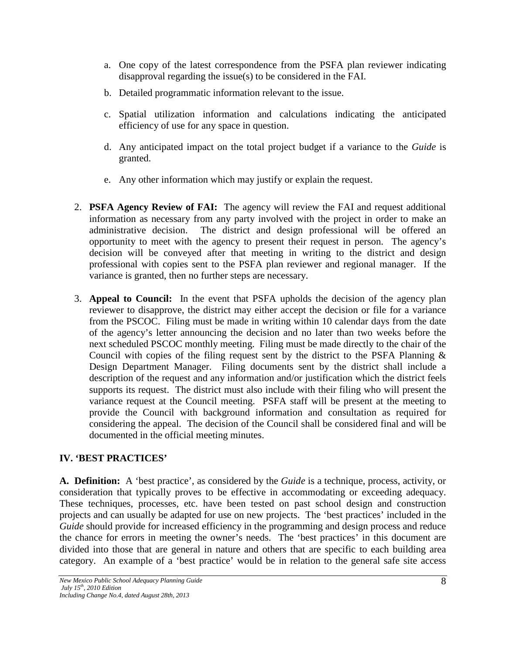- a. One copy of the latest correspondence from the PSFA plan reviewer indicating disapproval regarding the issue(s) to be considered in the FAI.
- b. Detailed programmatic information relevant to the issue.
- c. Spatial utilization information and calculations indicating the anticipated efficiency of use for any space in question.
- d. Any anticipated impact on the total project budget if a variance to the *Guide* is granted.
- e. Any other information which may justify or explain the request.
- 2. **PSFA Agency Review of FAI:** The agency will review the FAI and request additional information as necessary from any party involved with the project in order to make an administrative decision. The district and design professional will be offered an opportunity to meet with the agency to present their request in person. The agency's decision will be conveyed after that meeting in writing to the district and design professional with copies sent to the PSFA plan reviewer and regional manager. If the variance is granted, then no further steps are necessary.
- 3. **Appeal to Council:** In the event that PSFA upholds the decision of the agency plan reviewer to disapprove, the district may either accept the decision or file for a variance from the PSCOC. Filing must be made in writing within 10 calendar days from the date of the agency's letter announcing the decision and no later than two weeks before the next scheduled PSCOC monthly meeting. Filing must be made directly to the chair of the Council with copies of the filing request sent by the district to the PSFA Planning & Design Department Manager. Filing documents sent by the district shall include a description of the request and any information and/or justification which the district feels supports its request. The district must also include with their filing who will present the variance request at the Council meeting. PSFA staff will be present at the meeting to provide the Council with background information and consultation as required for considering the appeal. The decision of the Council shall be considered final and will be documented in the official meeting minutes.

# **IV. 'BEST PRACTICES'**

**A. Definition:** A 'best practice', as considered by the *Guide* is a technique, process, activity, or consideration that typically proves to be effective in accommodating or exceeding adequacy. These techniques, processes, etc. have been tested on past school design and construction projects and can usually be adapted for use on new projects. The 'best practices' included in the *Guide* should provide for increased efficiency in the programming and design process and reduce the chance for errors in meeting the owner's needs. The 'best practices' in this document are divided into those that are general in nature and others that are specific to each building area category. An example of a 'best practice' would be in relation to the general safe site access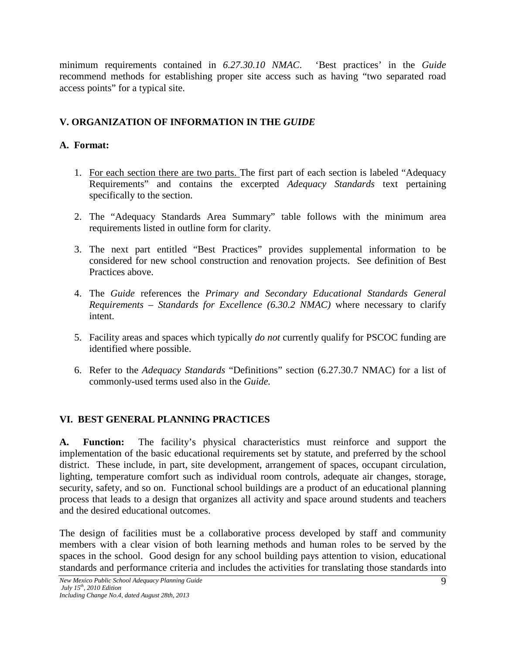minimum requirements contained in *6.27.30.10 NMAC*. 'Best practices' in the *Guide* recommend methods for establishing proper site access such as having "two separated road access points" for a typical site.

# **V. ORGANIZATION OF INFORMATION IN THE** *GUIDE*

## **A. Format:**

- 1. For each section there are two parts. The first part of each section is labeled "Adequacy Requirements" and contains the excerpted *Adequacy Standards* text pertaining specifically to the section.
- 2. The "Adequacy Standards Area Summary" table follows with the minimum area requirements listed in outline form for clarity.
- 3. The next part entitled "Best Practices" provides supplemental information to be considered for new school construction and renovation projects. See definition of Best Practices above.
- 4. The *Guide* references the *Primary and Secondary Educational Standards General Requirements – Standards for Excellence (6.30.2 NMAC)* where necessary to clarify intent.
- 5. Facility areas and spaces which typically *do not* currently qualify for PSCOC funding are identified where possible.
- 6. Refer to the *Adequacy Standards* "Definitions" section (6.27.30.7 NMAC) for a list of commonly-used terms used also in the *Guide.*

# **VI. BEST GENERAL PLANNING PRACTICES**

**A. Function:** The facility's physical characteristics must reinforce and support the implementation of the basic educational requirements set by statute, and preferred by the school district. These include, in part, site development, arrangement of spaces, occupant circulation, lighting, temperature comfort such as individual room controls, adequate air changes, storage, security, safety, and so on. Functional school buildings are a product of an educational planning process that leads to a design that organizes all activity and space around students and teachers and the desired educational outcomes.

The design of facilities must be a collaborative process developed by staff and community members with a clear vision of both learning methods and human roles to be served by the spaces in the school. Good design for any school building pays attention to vision, educational standards and performance criteria and includes the activities for translating those standards into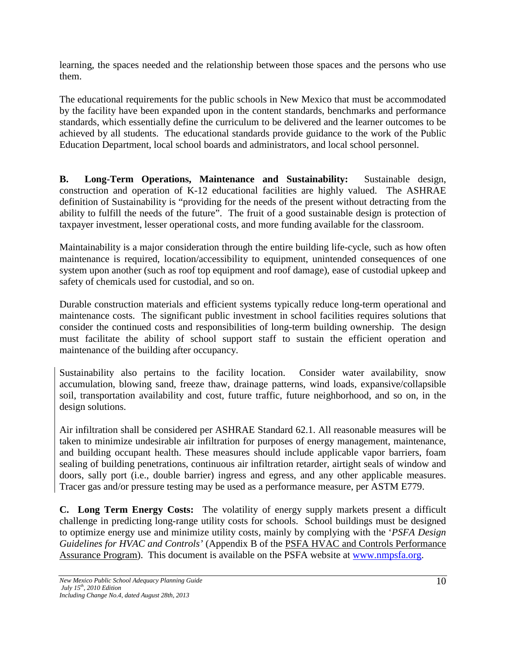learning, the spaces needed and the relationship between those spaces and the persons who use them.

The educational requirements for the public schools in New Mexico that must be accommodated by the facility have been expanded upon in the content standards, benchmarks and performance standards, which essentially define the curriculum to be delivered and the learner outcomes to be achieved by all students. The educational standards provide guidance to the work of the Public Education Department, local school boards and administrators, and local school personnel.

**B. Long-Term Operations, Maintenance and Sustainability:** Sustainable design, construction and operation of K-12 educational facilities are highly valued. The ASHRAE definition of Sustainability is "providing for the needs of the present without detracting from the ability to fulfill the needs of the future". The fruit of a good sustainable design is protection of taxpayer investment, lesser operational costs, and more funding available for the classroom.

Maintainability is a major consideration through the entire building life-cycle, such as how often maintenance is required, location/accessibility to equipment, unintended consequences of one system upon another (such as roof top equipment and roof damage), ease of custodial upkeep and safety of chemicals used for custodial, and so on.

Durable construction materials and efficient systems typically reduce long-term operational and maintenance costs. The significant public investment in school facilities requires solutions that consider the continued costs and responsibilities of long-term building ownership. The design must facilitate the ability of school support staff to sustain the efficient operation and maintenance of the building after occupancy.

Sustainability also pertains to the facility location. Consider water availability, snow accumulation, blowing sand, freeze thaw, drainage patterns, wind loads, expansive/collapsible soil, transportation availability and cost, future traffic, future neighborhood, and so on, in the design solutions.

Air infiltration shall be considered per ASHRAE Standard 62.1. All reasonable measures will be taken to minimize undesirable air infiltration for purposes of energy management, maintenance, and building occupant health. These measures should include applicable vapor barriers, foam sealing of building penetrations, continuous air infiltration retarder, airtight seals of window and doors, sally port (i.e., double barrier) ingress and egress, and any other applicable measures. Tracer gas and/or pressure testing may be used as a performance measure, per ASTM E779.

**C. Long Term Energy Costs:** The volatility of energy supply markets present a difficult challenge in predicting long-range utility costs for schools. School buildings must be designed to optimize energy use and minimize utility costs, mainly by complying with the '*PSFA Design Guidelines for HVAC and Controls'* (Appendix B of the PSFA HVAC and Controls Performance Assurance Program). This document is available on the PSFA website at [www.nmpsfa.org.](http://www.nmschoolbuildings.org/)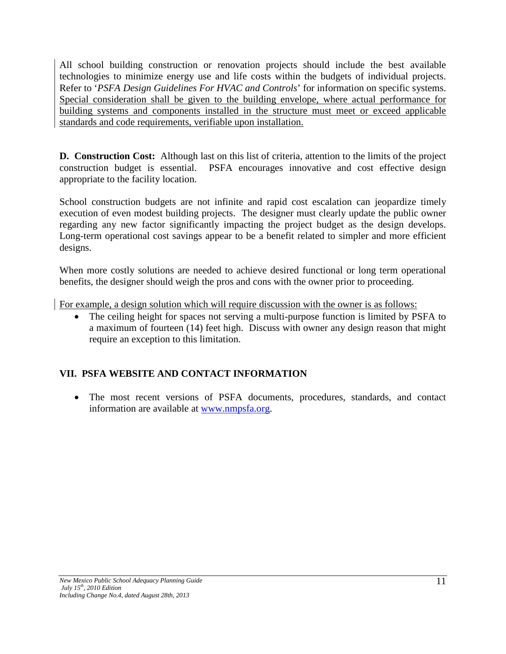All school building construction or renovation projects should include the best available technologies to minimize energy use and life costs within the budgets of individual projects. Refer to '*PSFA Design Guidelines For HVAC and Controls*' for information on specific systems. Special consideration shall be given to the building envelope, where actual performance for building systems and components installed in the structure must meet or exceed applicable standards and code requirements, verifiable upon installation.

**D. Construction Cost:** Although last on this list of criteria, attention to the limits of the project construction budget is essential. PSFA encourages innovative and cost effective design appropriate to the facility location.

School construction budgets are not infinite and rapid cost escalation can jeopardize timely execution of even modest building projects. The designer must clearly update the public owner regarding any new factor significantly impacting the project budget as the design develops. Long-term operational cost savings appear to be a benefit related to simpler and more efficient designs.

When more costly solutions are needed to achieve desired functional or long term operational benefits, the designer should weigh the pros and cons with the owner prior to proceeding.

For example, a design solution which will require discussion with the owner is as follows:

• The ceiling height for spaces not serving a multi-purpose function is limited by PSFA to a maximum of fourteen (14) feet high. Discuss with owner any design reason that might require an exception to this limitation.

# **VII. PSFA WEBSITE AND CONTACT INFORMATION**

• The most recent versions of PSFA documents, procedures, standards, and contact information are available at [www.nmpsfa.org.](http://www.nmpsfa.org/)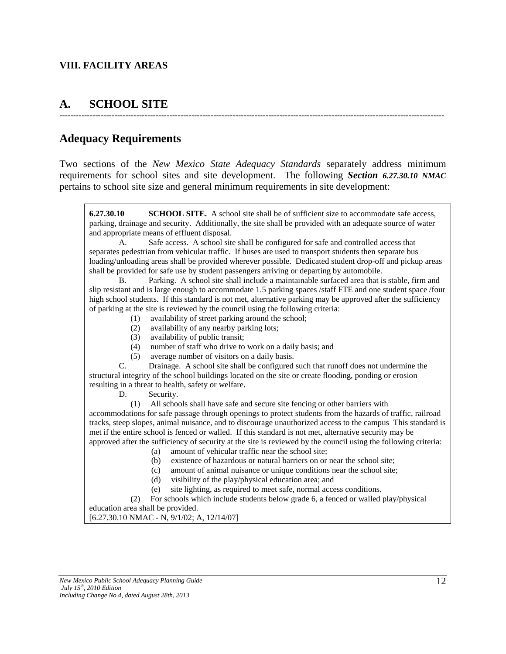#### **VIII. FACILITY AREAS**

# **A. SCHOOL SITE**

# **Adequacy Requirements**

Two sections of the *New Mexico State Adequacy Standards* separately address minimum requirements for school sites and site development. The following *Section 6.27.30.10 NMAC*  pertains to school site size and general minimum requirements in site development:

--------------------------------------------------------------------------------------------------------------------------------------------

**6.27.30.10 SCHOOL SITE.** A school site shall be of sufficient size to accommodate safe access, parking, drainage and security. Additionally, the site shall be provided with an adequate source of water and appropriate means of effluent disposal.

A. Safe access. A school site shall be configured for safe and controlled access that separates pedestrian from vehicular traffic. If buses are used to transport students then separate bus loading/unloading areas shall be provided wherever possible. Dedicated student drop-off and pickup areas shall be provided for safe use by student passengers arriving or departing by automobile.

B. Parking. A school site shall include a maintainable surfaced area that is stable, firm and slip resistant and is large enough to accommodate 1.5 parking spaces /staff FTE and one student space /four high school students. If this standard is not met, alternative parking may be approved after the sufficiency of parking at the site is reviewed by the council using the following criteria:

- (1) availability of street parking around the school;
- (2) availability of any nearby parking lots;
- (3) availability of public transit;
- (4) number of staff who drive to work on a daily basis; and
- (5) average number of visitors on a daily basis.

C. Drainage. A school site shall be configured such that runoff does not undermine the structural integrity of the school buildings located on the site or create flooding, ponding or erosion resulting in a threat to health, safety or welfare.

D. Security.

(1) All schools shall have safe and secure site fencing or other barriers with

accommodations for safe passage through openings to protect students from the hazards of traffic, railroad tracks, steep slopes, animal nuisance, and to discourage unauthorized access to the campus This standard is met if the entire school is fenced or walled. If this standard is not met, alternative security may be approved after the sufficiency of security at the site is reviewed by the council using the following criteria:

- (a) amount of vehicular traffic near the school site;
- (b) existence of hazardous or natural barriers on or near the school site;
- (c) amount of animal nuisance or unique conditions near the school site;
- (d) visibility of the play/physical education area; and
- (e) site lighting, as required to meet safe, normal access conditions.

 (2) For schools which include students below grade 6, a fenced or walled play/physical education area shall be provided.

[6.27.30.10 NMAC - N, 9/1/02; A, 12/14/07]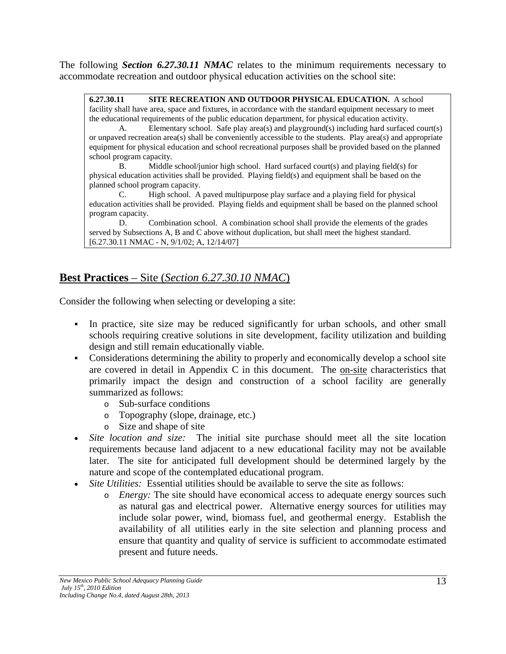The following *Section 6.27.30.11 NMAC* relates to the minimum requirements necessary to accommodate recreation and outdoor physical education activities on the school site:

**6.27.30.11 SITE RECREATION AND OUTDOOR PHYSICAL EDUCATION.** A school facility shall have area, space and fixtures, in accordance with the standard equipment necessary to meet the educational requirements of the public education department, for physical education activity.

A. Elementary school. Safe play area(s) and playground(s) including hard surfaced court(s) or unpaved recreation area(s) shall be conveniently accessible to the students. Play area(s) and appropriate equipment for physical education and school recreational purposes shall be provided based on the planned school program capacity.

B. Middle school/junior high school. Hard surfaced court(s) and playing field(s) for physical education activities shall be provided. Playing field(s) and equipment shall be based on the planned school program capacity.

C. High school. A paved multipurpose play surface and a playing field for physical education activities shall be provided. Playing fields and equipment shall be based on the planned school program capacity.

D. Combination school. A combination school shall provide the elements of the grades served by Subsections A, B and C above without duplication, but shall meet the highest standard. [6.27.30.11 NMAC - N, 9/1/02; A, 12/14/07]

# **Best Practices** – Site (*Section 6.27.30.10 NMAC*)

Consider the following when selecting or developing a site:

- In practice, site size may be reduced significantly for urban schools, and other small schools requiring creative solutions in site development, facility utilization and building design and still remain educationally viable.
- Considerations determining the ability to properly and economically develop a school site are covered in detail in Appendix C in this document. The on-site characteristics that primarily impact the design and construction of a school facility are generally summarized as follows:
	- o Sub-surface conditions
	- o Topography (slope, drainage, etc.)
	- o Size and shape of site
- *Site location and size:* The initial site purchase should meet all the site location requirements because land adjacent to a new educational facility may not be available later. The site for anticipated full development should be determined largely by the nature and scope of the contemplated educational program.
- *Site Utilities:* Essential utilities should be available to serve the site as follows:
	- o *Energy:* The site should have economical access to adequate energy sources such as natural gas and electrical power. Alternative energy sources for utilities may include solar power, wind, biomass fuel, and geothermal energy. Establish the availability of all utilities early in the site selection and planning process and ensure that quantity and quality of service is sufficient to accommodate estimated present and future needs.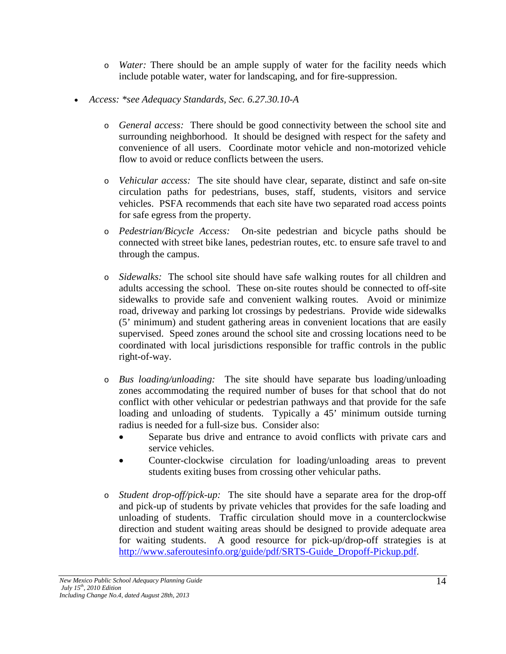- o *Water:* There should be an ample supply of water for the facility needs which include potable water, water for landscaping, and for fire-suppression.
- *Access: \*see Adequacy Standards, Sec. 6.27.30.10-A*
	- o *General access:* There should be good connectivity between the school site and surrounding neighborhood. It should be designed with respect for the safety and convenience of all users. Coordinate motor vehicle and non-motorized vehicle flow to avoid or reduce conflicts between the users.
	- o *Vehicular access:* The site should have clear, separate, distinct and safe on-site circulation paths for pedestrians, buses, staff, students, visitors and service vehicles. PSFA recommends that each site have two separated road access points for safe egress from the property.
	- o *Pedestrian/Bicycle Access:* On-site pedestrian and bicycle paths should be connected with street bike lanes, pedestrian routes, etc. to ensure safe travel to and through the campus.
	- o *Sidewalks:* The school site should have safe walking routes for all children and adults accessing the school. These on-site routes should be connected to off-site sidewalks to provide safe and convenient walking routes. Avoid or minimize road, driveway and parking lot crossings by pedestrians. Provide wide sidewalks (5' minimum) and student gathering areas in convenient locations that are easily supervised. Speed zones around the school site and crossing locations need to be coordinated with local jurisdictions responsible for traffic controls in the public right-of-way.
	- o *Bus loading/unloading:* The site should have separate bus loading/unloading zones accommodating the required number of buses for that school that do not conflict with other vehicular or pedestrian pathways and that provide for the safe loading and unloading of students. Typically a 45' minimum outside turning radius is needed for a full-size bus. Consider also:
		- Separate bus drive and entrance to avoid conflicts with private cars and service vehicles.
		- Counter-clockwise circulation for loading/unloading areas to prevent students exiting buses from crossing other vehicular paths.
	- o *Student drop-off/pick-up:* The site should have a separate area for the drop-off and pick-up of students by private vehicles that provides for the safe loading and unloading of students. Traffic circulation should move in a counterclockwise direction and student waiting areas should be designed to provide adequate area for waiting students. A good resource for pick-up/drop-off strategies is at [http://www.saferoutesinfo.org/guide/pdf/SRTS-Guide\\_Dropoff-Pickup.pdf.](http://www.saferoutesinfo.org/guide/pdf/SRTS-Guide_Dropoff-Pickup.pdf)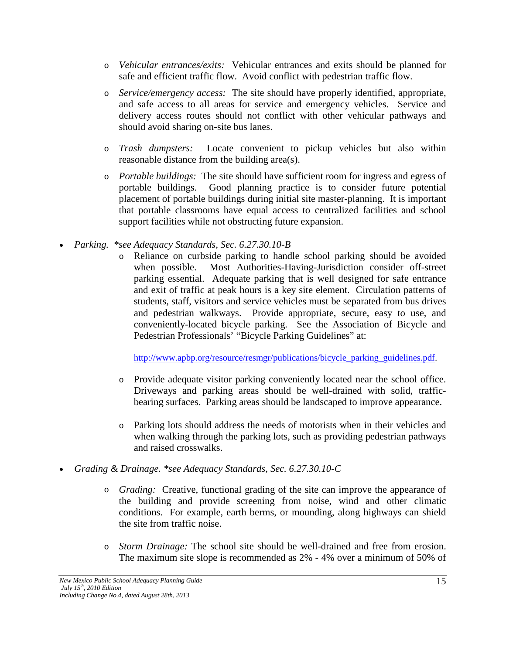- o *Vehicular entrances/exits:* Vehicular entrances and exits should be planned for safe and efficient traffic flow. Avoid conflict with pedestrian traffic flow.
- o *Service/emergency access:* The site should have properly identified, appropriate, and safe access to all areas for service and emergency vehicles. Service and delivery access routes should not conflict with other vehicular pathways and should avoid sharing on-site bus lanes.
- o *Trash dumpsters:* Locate convenient to pickup vehicles but also within reasonable distance from the building area(s).
- o *Portable buildings:* The site should have sufficient room for ingress and egress of portable buildings. Good planning practice is to consider future potential placement of portable buildings during initial site master-planning. It is important that portable classrooms have equal access to centralized facilities and school support facilities while not obstructing future expansion.
- *Parking. \*see Adequacy Standards, Sec. 6.27.30.10-B*
	- o Reliance on curbside parking to handle school parking should be avoided when possible. Most Authorities-Having-Jurisdiction consider off-street parking essential. Adequate parking that is well designed for safe entrance and exit of traffic at peak hours is a key site element. Circulation patterns of students, staff, visitors and service vehicles must be separated from bus drives and pedestrian walkways. Provide appropriate, secure, easy to use, and conveniently-located bicycle parking. See the Association of Bicycle and Pedestrian Professionals' "Bicycle Parking Guidelines" at:

[http://www.apbp.org/resource/resmgr/publications/bicycle\\_parking\\_guidelines.pdf.](http://www.apbp.org/resource/resmgr/publications/bicycle_parking_guidelines.pdf)

- o Provide adequate visitor parking conveniently located near the school office. Driveways and parking areas should be well-drained with solid, trafficbearing surfaces. Parking areas should be landscaped to improve appearance.
- o Parking lots should address the needs of motorists when in their vehicles and when walking through the parking lots, such as providing pedestrian pathways and raised crosswalks.
- *Grading & Drainage. \*see Adequacy Standards, Sec. 6.27.30.10-C*
	- o *Grading:* Creative, functional grading of the site can improve the appearance of the building and provide screening from noise, wind and other climatic conditions. For example, earth berms, or mounding, along highways can shield the site from traffic noise.
	- o *Storm Drainage:* The school site should be well-drained and free from erosion. The maximum site slope is recommended as 2% - 4% over a minimum of 50% of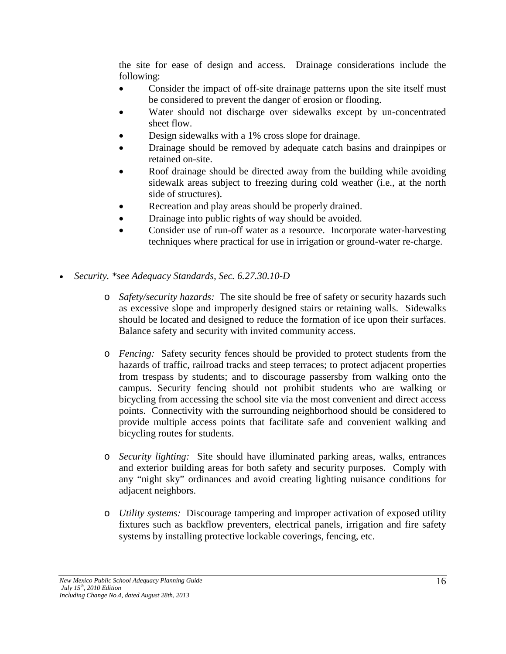the site for ease of design and access. Drainage considerations include the following:

- Consider the impact of off-site drainage patterns upon the site itself must be considered to prevent the danger of erosion or flooding.
- Water should not discharge over sidewalks except by un-concentrated sheet flow.
- Design sidewalks with a 1% cross slope for drainage.
- Drainage should be removed by adequate catch basins and drainpipes or retained on-site.
- Roof drainage should be directed away from the building while avoiding sidewalk areas subject to freezing during cold weather (i.e., at the north side of structures).
- Recreation and play areas should be properly drained.
- Drainage into public rights of way should be avoided.
- Consider use of run-off water as a resource. Incorporate water-harvesting techniques where practical for use in irrigation or ground-water re-charge.
- *Security. \*see Adequacy Standards, Sec. 6.27.30.10-D*
	- o *Safety/security hazards:* The site should be free of safety or security hazards such as excessive slope and improperly designed stairs or retaining walls. Sidewalks should be located and designed to reduce the formation of ice upon their surfaces. Balance safety and security with invited community access.
	- o *Fencing:* Safety security fences should be provided to protect students from the hazards of traffic, railroad tracks and steep terraces; to protect adjacent properties from trespass by students; and to discourage passersby from walking onto the campus. Security fencing should not prohibit students who are walking or bicycling from accessing the school site via the most convenient and direct access points. Connectivity with the surrounding neighborhood should be considered to provide multiple access points that facilitate safe and convenient walking and bicycling routes for students.
	- o *Security lighting:* Site should have illuminated parking areas, walks, entrances and exterior building areas for both safety and security purposes. Comply with any "night sky" ordinances and avoid creating lighting nuisance conditions for adjacent neighbors.
	- o *Utility systems:* Discourage tampering and improper activation of exposed utility fixtures such as backflow preventers, electrical panels, irrigation and fire safety systems by installing protective lockable coverings, fencing, etc.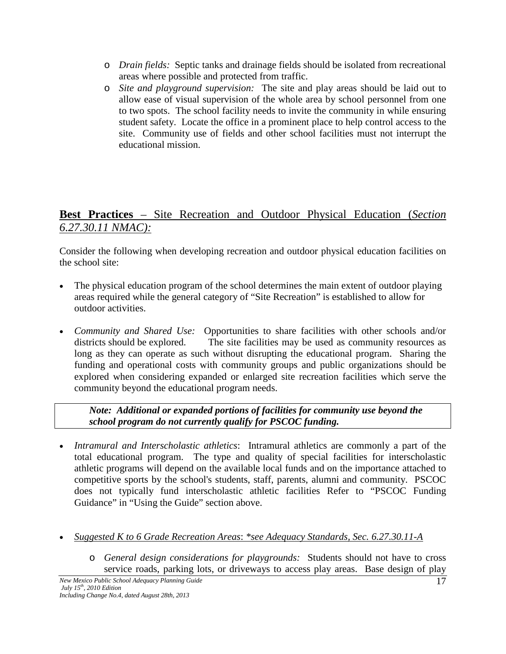- o *Drain fields:* Septic tanks and drainage fields should be isolated from recreational areas where possible and protected from traffic.
- o *Site and playground supervision:* The site and play areas should be laid out to allow ease of visual supervision of the whole area by school personnel from one to two spots. The school facility needs to invite the community in while ensuring student safety. Locate the office in a prominent place to help control access to the site. Community use of fields and other school facilities must not interrupt the educational mission.

# **Best Practices** – Site Recreation and Outdoor Physical Education (*Section 6.27.30.11 NMAC):*

Consider the following when developing recreation and outdoor physical education facilities on the school site:

- The physical education program of the school determines the main extent of outdoor playing areas required while the general category of "Site Recreation" is established to allow for outdoor activities.
- *Community and Shared Use:* Opportunities to share facilities with other schools and/or districts should be explored. The site facilities may be used as community resources as long as they can operate as such without disrupting the educational program. Sharing the funding and operational costs with community groups and public organizations should be explored when considering expanded or enlarged site recreation facilities which serve the community beyond the educational program needs.

*Note: Additional or expanded portions of facilities for community use beyond the school program do not currently qualify for PSCOC funding.*

- *Intramural and Interscholastic athletics*: Intramural athletics are commonly a part of the total educational program. The type and quality of special facilities for interscholastic athletic programs will depend on the available local funds and on the importance attached to competitive sports by the school's students, staff, parents, alumni and community. PSCOC does not typically fund interscholastic athletic facilities Refer to "PSCOC Funding Guidance" in "Using the Guide" section above.
- *Suggested K to 6 Grade Recreation Areas*: *\*see Adequacy Standards, Sec. 6.27.30.11-A*
	- o *General design considerations for playgrounds:* Students should not have to cross service roads, parking lots, or driveways to access play areas. Base design of play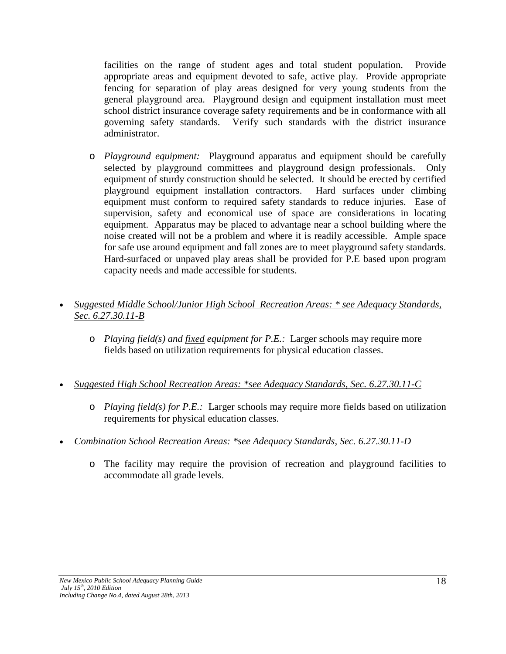facilities on the range of student ages and total student population. Provide appropriate areas and equipment devoted to safe, active play. Provide appropriate fencing for separation of play areas designed for very young students from the general playground area. Playground design and equipment installation must meet school district insurance coverage safety requirements and be in conformance with all governing safety standards. Verify such standards with the district insurance Verify such standards with the district insurance administrator.

o *Playground equipment:* Playground apparatus and equipment should be carefully selected by playground committees and playground design professionals. Only equipment of sturdy construction should be selected. It should be erected by certified playground equipment installation contractors. Hard surfaces under climbing equipment must conform to required safety standards to reduce injuries. Ease of supervision, safety and economical use of space are considerations in locating equipment. Apparatus may be placed to advantage near a school building where the noise created will not be a problem and where it is readily accessible. Ample space for safe use around equipment and fall zones are to meet playground safety standards. Hard-surfaced or unpaved play areas shall be provided for P.E based upon program capacity needs and made accessible for students.

#### • *Suggested Middle School/Junior High School Recreation Areas: \* see Adequacy Standards, Sec. 6.27.30.11-B*

- o *Playing field(s) and fixed equipment for P.E.:* Larger schools may require more fields based on utilization requirements for physical education classes.
- *Suggested High School Recreation Areas: \*see Adequacy Standards, Sec. 6.27.30.11-C*
	- o *Playing field(s) for P.E.:* Larger schools may require more fields based on utilization requirements for physical education classes.
- *Combination School Recreation Areas: \*see Adequacy Standards, Sec. 6.27.30.11-D*
	- o The facility may require the provision of recreation and playground facilities to accommodate all grade levels.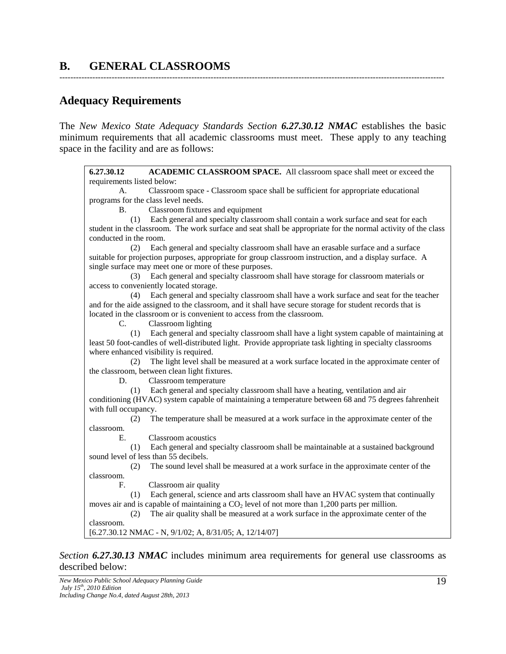# **B. GENERAL CLASSROOMS**

# **Adequacy Requirements**

The *New Mexico State Adequacy Standards Section 6.27.30.12 NMAC* establishes the basic minimum requirements that all academic classrooms must meet. These apply to any teaching space in the facility and are as follows:

--------------------------------------------------------------------------------------------------------------------------------------------

**6.27.30.12 ACADEMIC CLASSROOM SPACE.** All classroom space shall meet or exceed the requirements listed below: A. Classroom space - Classroom space shall be sufficient for appropriate educational programs for the class level needs. B. Classroom fixtures and equipment (1) Each general and specialty classroom shall contain a work surface and seat for each student in the classroom. The work surface and seat shall be appropriate for the normal activity of the class conducted in the room. (2) Each general and specialty classroom shall have an erasable surface and a surface suitable for projection purposes, appropriate for group classroom instruction, and a display surface. A single surface may meet one or more of these purposes. (3) Each general and specialty classroom shall have storage for classroom materials or access to conveniently located storage. (4) Each general and specialty classroom shall have a work surface and seat for the teacher and for the aide assigned to the classroom, and it shall have secure storage for student records that is located in the classroom or is convenient to access from the classroom. C. Classroom lighting (1) Each general and specialty classroom shall have a light system capable of maintaining at least 50 foot-candles of well-distributed light. Provide appropriate task lighting in specialty classrooms where enhanced visibility is required. (2) The light level shall be measured at a work surface located in the approximate center of the classroom, between clean light fixtures. D. Classroom temperature (1) Each general and specialty classroom shall have a heating, ventilation and air conditioning (HVAC) system capable of maintaining a temperature between 68 and 75 degrees fahrenheit with full occupancy. (2) The temperature shall be measured at a work surface in the approximate center of the classroom. E. Classroom acoustics (1) Each general and specialty classroom shall be maintainable at a sustained background sound level of less than 55 decibels. (2) The sound level shall be measured at a work surface in the approximate center of the classroom. F. Classroom air quality (1) Each general, science and arts classroom shall have an HVAC system that continually moves air and is capable of maintaining a  $CO<sub>2</sub>$  level of not more than 1,200 parts per million. (2) The air quality shall be measured at a work surface in the approximate center of the classroom. [6.27.30.12 NMAC - N, 9/1/02; A, 8/31/05; A, 12/14/07]

*Section 6.27.30.13 NMAC* includes minimum area requirements for general use classrooms as described below: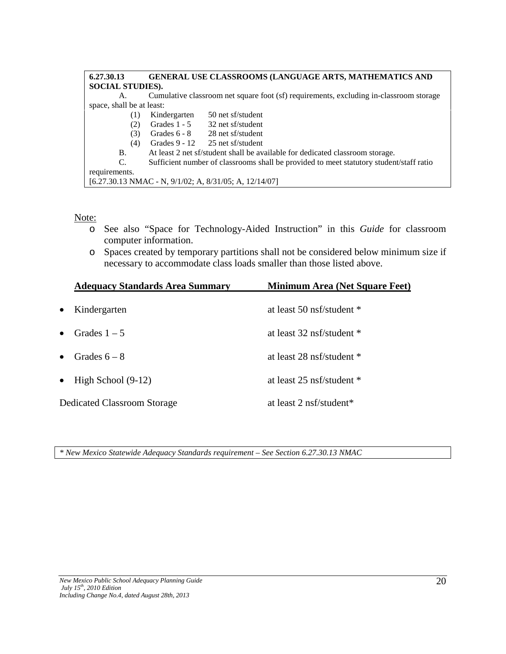| 6.27.30.13                                                                            | <b>GENERAL USE CLASSROOMS (LANGUAGE ARTS, MATHEMATICS AND</b>                           |                                                                                        |
|---------------------------------------------------------------------------------------|-----------------------------------------------------------------------------------------|----------------------------------------------------------------------------------------|
| <b>SOCIAL STUDIES).</b>                                                               |                                                                                         |                                                                                        |
| А.                                                                                    |                                                                                         | Cumulative classroom net square foot (sf) requirements, excluding in-classroom storage |
| space, shall be at least:                                                             |                                                                                         |                                                                                        |
| (1)                                                                                   | Kindergarten                                                                            | 50 net sf/student                                                                      |
| (2)                                                                                   |                                                                                         | Grades $1 - 5$ 32 net sf/student                                                       |
| (3)                                                                                   |                                                                                         | Grades $6 - 8$ 28 net sf/student                                                       |
| (4)                                                                                   |                                                                                         | Grades $9 - 12$ 25 net sf/student                                                      |
| At least 2 net sf/student shall be available for dedicated classroom storage.<br>B.   |                                                                                         |                                                                                        |
| C.                                                                                    | Sufficient number of classrooms shall be provided to meet statutory student/staff ratio |                                                                                        |
| requirements.                                                                         |                                                                                         |                                                                                        |
| $[6.27.30.13 \text{ NMAC} - \text{N}, 9/1/02; \text{A}, 8/31/05; \text{A}, 12/14/07]$ |                                                                                         |                                                                                        |

#### Note:

- o See also "Space for Technology-Aided Instruction" in this *Guide* for classroom computer information.
- o Spaces created by temporary partitions shall not be considered below minimum size if necessary to accommodate class loads smaller than those listed above.

|           | <b>Adequacy Standards Area Summary</b> | <b>Minimum Area (Net Square Feet)</b> |
|-----------|----------------------------------------|---------------------------------------|
| $\bullet$ | Kindergarten                           | at least 50 nsf/student *             |
| $\bullet$ | Grades $1-5$                           | at least 32 nsf/student *             |
| $\bullet$ | Grades $6-8$                           | at least 28 nsf/student *             |
|           | $\bullet$ High School (9-12)           | at least 25 nsf/student *             |
|           | Dedicated Classroom Storage            | at least 2 nsf/student*               |

*\* New Mexico Statewide Adequacy Standards requirement – See Section 6.27.30.13 NMAC*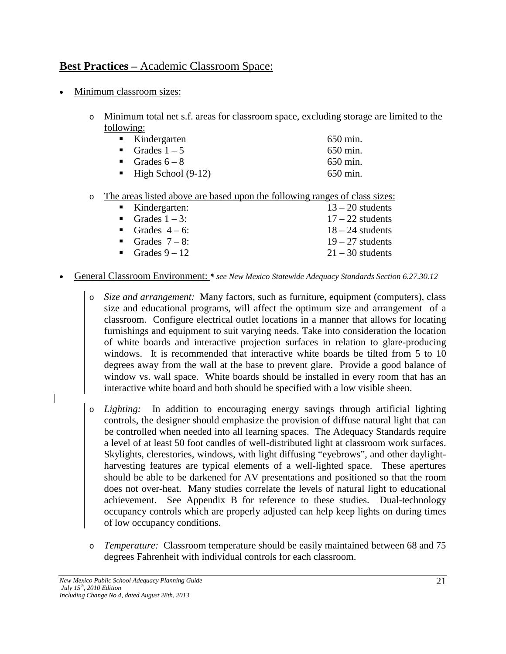# **Best Practices –** Academic Classroom Space:

- Minimum classroom sizes:
	- o Minimum total net s.f. areas for classroom space, excluding storage are limited to the following:

| $\blacksquare$ Kindergarten       | 650 min. |
|-----------------------------------|----------|
| Grades $1-5$                      | 650 min. |
| Grades $6-8$                      | 650 min. |
| $\blacksquare$ High School (9-12) | 650 min. |

#### o The areas listed above are based upon the following ranges of class sizes:

| $\blacksquare$ Kindergarten: | $13 - 20$ students |
|------------------------------|--------------------|
| Grades $1 - 3$ :             | $17 - 22$ students |
| Grades $4-6$ :               | $18 - 24$ students |
| Grades $7-8$ :               | $19 - 27$ students |
| Grades $9-12$                | $21 - 30$ students |

#### • General Classroom Environment: *\* see New Mexico Statewide Adequacy Standards Section 6.27.30.12*

o *Size and arrangement:* Many factors, such as furniture, equipment (computers), class size and educational programs, will affect the optimum size and arrangement of a classroom. Configure electrical outlet locations in a manner that allows for locating furnishings and equipment to suit varying needs. Take into consideration the location of white boards and interactive projection surfaces in relation to glare-producing windows. It is recommended that interactive white boards be tilted from 5 to 10 degrees away from the wall at the base to prevent glare. Provide a good balance of window vs. wall space. White boards should be installed in every room that has an interactive white board and both should be specified with a low visible sheen.

o *Lighting:* In addition to encouraging energy savings through artificial lighting controls, the designer should emphasize the provision of diffuse natural light that can be controlled when needed into all learning spaces. The Adequacy Standards require a level of at least 50 foot candles of well-distributed light at classroom work surfaces. Skylights, clerestories, windows, with light diffusing "eyebrows", and other daylightharvesting features are typical elements of a well-lighted space. These apertures should be able to be darkened for AV presentations and positioned so that the room does not over-heat. Many studies correlate the levels of natural light to educational achievement. See Appendix B for reference to these studies. Dual-technology occupancy controls which are properly adjusted can help keep lights on during times of low occupancy conditions.

o *Temperature:* Classroom temperature should be easily maintained between 68 and 75 degrees Fahrenheit with individual controls for each classroom.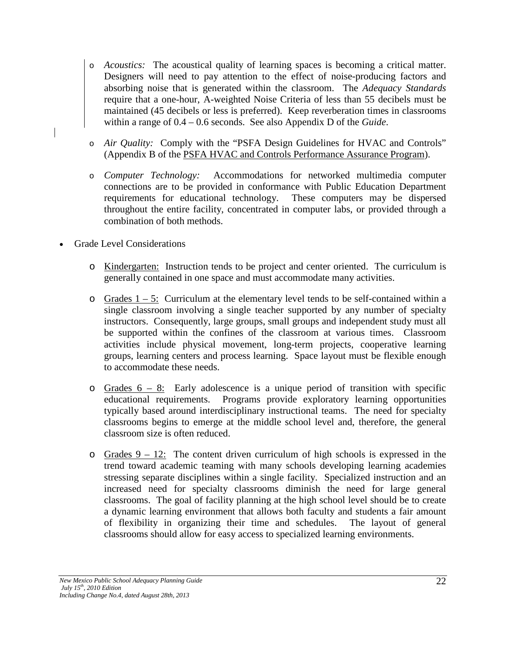- o *Acoustics:* The acoustical quality of learning spaces is becoming a critical matter. Designers will need to pay attention to the effect of noise-producing factors and absorbing noise that is generated within the classroom. The *Adequacy Standards* require that a one-hour, A-weighted Noise Criteria of less than 55 decibels must be maintained (45 decibels or less is preferred). Keep reverberation times in classrooms within a range of 0.4 – 0.6 seconds. See also Appendix D of the *Guide*.
- o *Air Quality:* Comply with the "PSFA Design Guidelines for HVAC and Controls" (Appendix B of the PSFA HVAC and Controls Performance Assurance Program).
- o *Computer Technology:* Accommodations for networked multimedia computer connections are to be provided in conformance with Public Education Department requirements for educational technology. These computers may be dispersed throughout the entire facility, concentrated in computer labs, or provided through a combination of both methods.
- Grade Level Considerations
	- o Kindergarten: Instruction tends to be project and center oriented. The curriculum is generally contained in one space and must accommodate many activities.
	- $\circ$  Grades  $1 5$ : Curriculum at the elementary level tends to be self-contained within a single classroom involving a single teacher supported by any number of specialty instructors. Consequently, large groups, small groups and independent study must all be supported within the confines of the classroom at various times. Classroom activities include physical movement, long-term projects, cooperative learning groups, learning centers and process learning. Space layout must be flexible enough to accommodate these needs.
	- $\circ$  Grades  $6 8$ : Early adolescence is a unique period of transition with specific educational requirements. Programs provide exploratory learning opportunities typically based around interdisciplinary instructional teams. The need for specialty classrooms begins to emerge at the middle school level and, therefore, the general classroom size is often reduced.
	- $\circ$  Grades 9 12: The content driven curriculum of high schools is expressed in the trend toward academic teaming with many schools developing learning academies stressing separate disciplines within a single facility. Specialized instruction and an increased need for specialty classrooms diminish the need for large general classrooms. The goal of facility planning at the high school level should be to create a dynamic learning environment that allows both faculty and students a fair amount of flexibility in organizing their time and schedules. The layout of general classrooms should allow for easy access to specialized learning environments.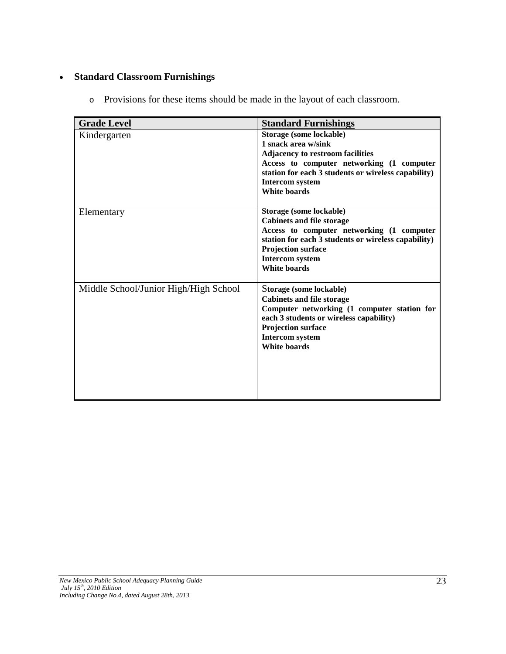# • **Standard Classroom Furnishings**

o Provisions for these items should be made in the layout of each classroom.

| <b>Grade Level</b>                    | <b>Standard Furnishings</b>                                                                                                                                                                                                                    |
|---------------------------------------|------------------------------------------------------------------------------------------------------------------------------------------------------------------------------------------------------------------------------------------------|
| Kindergarten                          | Storage (some lockable)<br>1 snack area w/sink<br><b>Adjacency to restroom facilities</b><br>Access to computer networking (1 computer<br>station for each 3 students or wireless capability)<br><b>Intercom system</b><br><b>White boards</b> |
| Elementary                            | Storage (some lockable)<br><b>Cabinets and file storage</b><br>Access to computer networking (1 computer<br>station for each 3 students or wireless capability)<br><b>Projection surface</b><br><b>Intercom system</b><br><b>White boards</b>  |
| Middle School/Junior High/High School | Storage (some lockable)<br><b>Cabinets and file storage</b><br>Computer networking (1 computer station for<br>each 3 students or wireless capability)<br><b>Projection surface</b><br><b>Intercom system</b><br><b>White boards</b>            |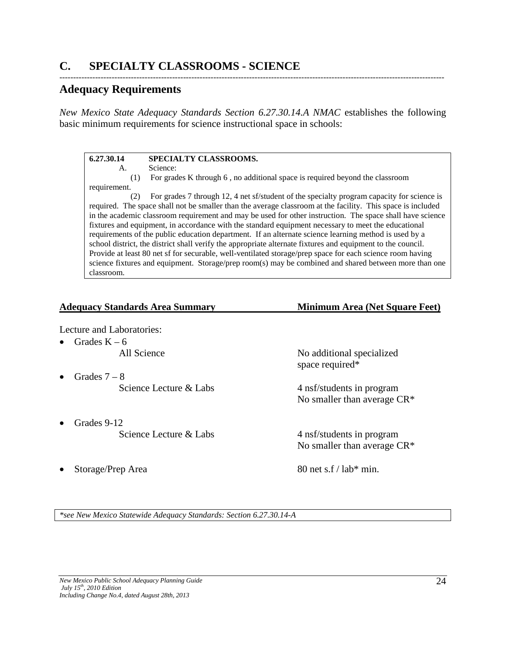# **Adequacy Requirements**

*New Mexico State Adequacy Standards Section 6.27.30.14.A NMAC* establishes the following basic minimum requirements for science instructional space in schools:

--------------------------------------------------------------------------------------------------------------------------------------------

#### **6.27.30.14 SPECIALTY CLASSROOMS.** A. Science: (1) For grades K through 6 , no additional space is required beyond the classroom requirement. (2) For grades 7 through 12, 4 net sf/student of the specialty program capacity for science is required. The space shall not be smaller than the average classroom at the facility. This space is included in the academic classroom requirement and may be used for other instruction. The space shall have science fixtures and equipment, in accordance with the standard equipment necessary to meet the educational requirements of the public education department. If an alternate science learning method is used by a school district, the district shall verify the appropriate alternate fixtures and equipment to the council. Provide at least 80 net sf for securable, well-ventilated storage/prep space for each science room having science fixtures and equipment. Storage/prep room(s) may be combined and shared between more than one classroom.

| <b>Adequacy Standards Area Summary</b> | <b>Minimum Area (Net Square Feet)</b>                       |
|----------------------------------------|-------------------------------------------------------------|
| Lecture and Laboratories:              |                                                             |
| Grades $K - 6$                         |                                                             |
| All Science                            | No additional specialized<br>space required*                |
| Grades $7-8$                           |                                                             |
| Science Lecture & Labs                 | 4 nsf/students in program<br>No smaller than average $CR^*$ |
| Grades 9-12                            |                                                             |
| Science Lecture & Labs                 | 4 nsf/students in program<br>No smaller than average $CR^*$ |
| Storage/Prep Area                      | 80 net s $f /$ lab* min.                                    |

*\*see New Mexico Statewide Adequacy Standards: Section 6.27.30.14-A*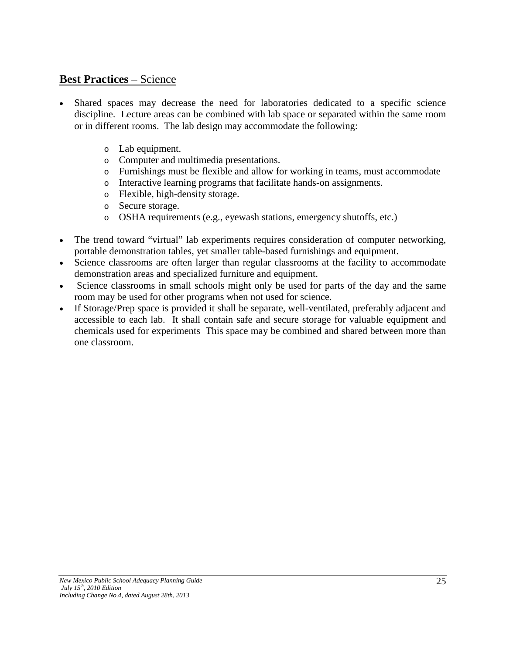# **Best Practices** – Science

- Shared spaces may decrease the need for laboratories dedicated to a specific science discipline. Lecture areas can be combined with lab space or separated within the same room or in different rooms. The lab design may accommodate the following:
	- o Lab equipment.
	- o Computer and multimedia presentations.
	- o Furnishings must be flexible and allow for working in teams, must accommodate
	- o Interactive learning programs that facilitate hands-on assignments.
	- o Flexible, high-density storage.
	- o Secure storage.
	- o OSHA requirements (e.g., eyewash stations, emergency shutoffs, etc.)
- The trend toward "virtual" lab experiments requires consideration of computer networking, portable demonstration tables, yet smaller table-based furnishings and equipment.
- Science classrooms are often larger than regular classrooms at the facility to accommodate demonstration areas and specialized furniture and equipment.
- Science classrooms in small schools might only be used for parts of the day and the same room may be used for other programs when not used for science.
- If Storage/Prep space is provided it shall be separate, well-ventilated, preferably adjacent and accessible to each lab. It shall contain safe and secure storage for valuable equipment and chemicals used for experiments This space may be combined and shared between more than one classroom.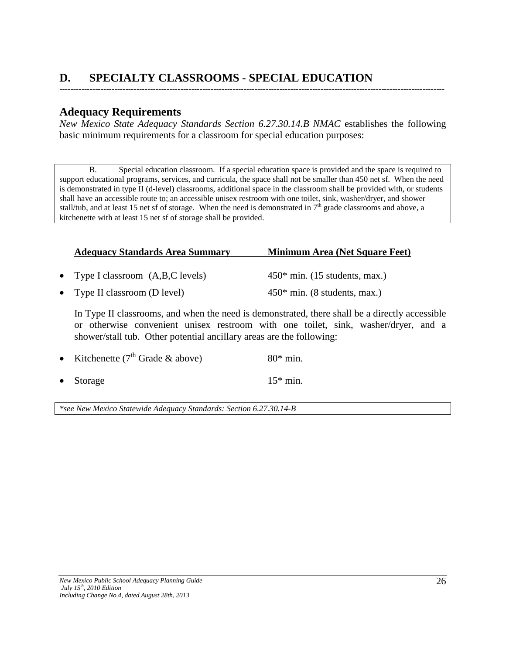# **D. SPECIALTY CLASSROOMS - SPECIAL EDUCATION**

# **Adequacy Requirements**

*New Mexico State Adequacy Standards Section 6.27.30.14.B NMAC* establishes the following basic minimum requirements for a classroom for special education purposes:

--------------------------------------------------------------------------------------------------------------------------------------------

B. Special education classroom. If a special education space is provided and the space is required to support educational programs, services, and curricula, the space shall not be smaller than 450 net sf. When the need is demonstrated in type II (d-level) classrooms, additional space in the classroom shall be provided with, or students shall have an accessible route to; an accessible unisex restroom with one toilet, sink, washer/dryer, and shower stall/tub, and at least 15 net sf of storage. When the need is demonstrated in  $7<sup>th</sup>$  grade classrooms and above, a kitchenette with at least 15 net sf of storage shall be provided.

| <b>Adequacy Standards Area Summary</b> | <b>Minimum Area (Net Square Feet)</b> |
|----------------------------------------|---------------------------------------|
|                                        |                                       |

• Type I classroom (A,B,C levels) 450\* min. (15 students, max.)

• Type II classroom (D level) 450\* min. (8 students, max.)

In Type II classrooms, and when the need is demonstrated, there shall be a directly accessible or otherwise convenient unisex restroom with one toilet, sink, washer/dryer, and a shower/stall tub. Other potential ancillary areas are the following:

| • Kitchenette $(7th$ Grade & above) | $80*$ min. |
|-------------------------------------|------------|
| • Storage                           | $15*$ min. |

*\*see New Mexico Statewide Adequacy Standards: Section 6.27.30.14-B*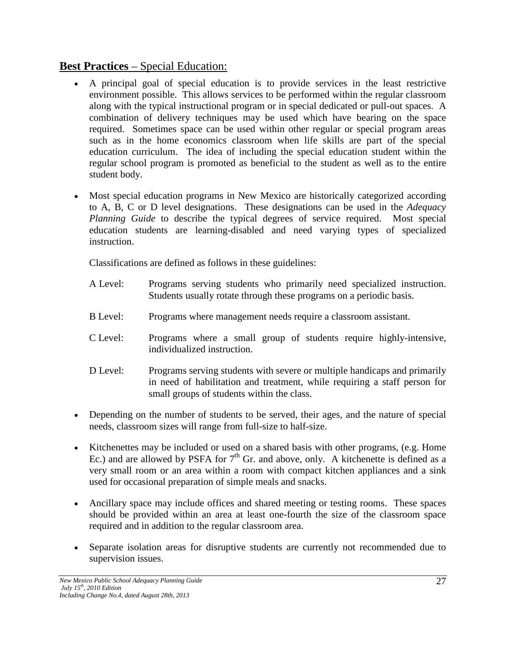# **Best Practices** – Special Education:

- A principal goal of special education is to provide services in the least restrictive environment possible. This allows services to be performed within the regular classroom along with the typical instructional program or in special dedicated or pull-out spaces. A combination of delivery techniques may be used which have bearing on the space required. Sometimes space can be used within other regular or special program areas such as in the home economics classroom when life skills are part of the special education curriculum. The idea of including the special education student within the regular school program is promoted as beneficial to the student as well as to the entire student body.
- Most special education programs in New Mexico are historically categorized according to A, B, C or D level designations. These designations can be used in the *Adequacy Planning Guide* to describe the typical degrees of service required. Most special education students are learning-disabled and need varying types of specialized instruction.

Classifications are defined as follows in these guidelines:

- A Level: Programs serving students who primarily need specialized instruction. Students usually rotate through these programs on a periodic basis.
- B Level: Programs where management needs require a classroom assistant.
- C Level: Programs where a small group of students require highly-intensive, individualized instruction.
- D Level: Programs serving students with severe or multiple handicaps and primarily in need of habilitation and treatment, while requiring a staff person for small groups of students within the class.
- Depending on the number of students to be served, their ages, and the nature of special needs, classroom sizes will range from full-size to half-size.
- Kitchenettes may be included or used on a shared basis with other programs, (e.g. Home Ec.) and are allowed by PSFA for  $7<sup>th</sup>$  Gr. and above, only. A kitchenette is defined as a very small room or an area within a room with compact kitchen appliances and a sink used for occasional preparation of simple meals and snacks.
- Ancillary space may include offices and shared meeting or testing rooms. These spaces should be provided within an area at least one-fourth the size of the classroom space required and in addition to the regular classroom area.
- Separate isolation areas for disruptive students are currently not recommended due to supervision issues.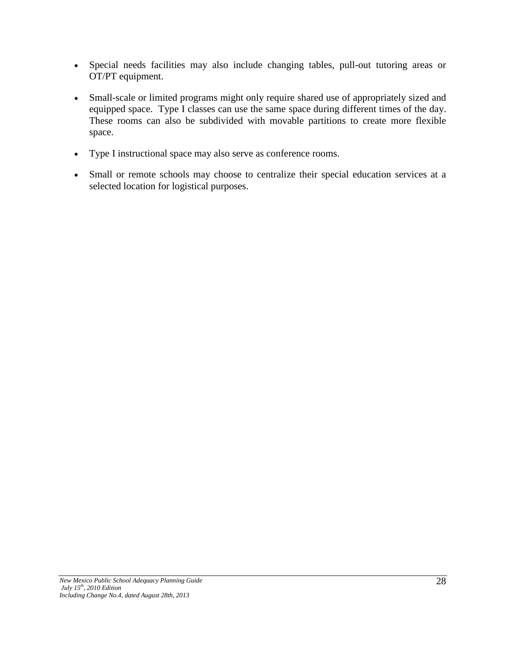- Special needs facilities may also include changing tables, pull-out tutoring areas or OT/PT equipment.
- Small-scale or limited programs might only require shared use of appropriately sized and equipped space. Type I classes can use the same space during different times of the day. These rooms can also be subdivided with movable partitions to create more flexible space.
- Type I instructional space may also serve as conference rooms.
- Small or remote schools may choose to centralize their special education services at a selected location for logistical purposes.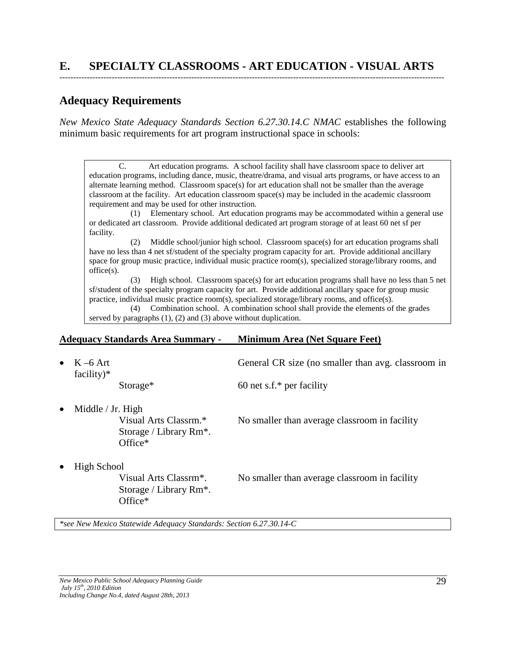# **Adequacy Requirements**

*New Mexico State Adequacy Standards Section 6.27.30.14.C NMAC* establishes the following minimum basic requirements for art program instructional space in schools:

C. Art education programs. A school facility shall have classroom space to deliver art education programs, including dance, music, theatre/drama, and visual arts programs, or have access to an alternate learning method. Classroom space(s) for art education shall not be smaller than the average classroom at the facility. Art education classroom space(s) may be included in the academic classroom requirement and may be used for other instruction.

 (1) Elementary school. Art education programs may be accommodated within a general use or dedicated art classroom. Provide additional dedicated art program storage of at least 60 net sf per facility.

 (2) Middle school/junior high school. Classroom space(s) for art education programs shall have no less than 4 net sf/student of the specialty program capacity for art. Provide additional ancillary space for group music practice, individual music practice room(s), specialized storage/library rooms, and office(s).

 (3) High school. Classroom space(s) for art education programs shall have no less than 5 net sf/student of the specialty program capacity for art. Provide additional ancillary space for group music practice, individual music practice room(s), specialized storage/library rooms, and office(s).

 (4) Combination school. A combination school shall provide the elements of the grades served by paragraphs (1), (2) and (3) above without duplication.

#### **Adequacy Standards Area Summary - Minimum Area (Net Square Feet)**

| • $K-6$ Art<br>$facility)*$                  | General CR size (no smaller than avg. classroom in |
|----------------------------------------------|----------------------------------------------------|
| Storage <sup>*</sup>                         | 60 net s.f.* per facility                          |
| • Middle / Jr. High<br>Visual Arts Classrm.* | No smaller than average classroom in facility      |

Storage / Library Rm\*. Office\*

• High School

Storage / Library Rm\*. Office\*

Visual Arts Classrm\*. No smaller than average classroom in facility

*\*see New Mexico Statewide Adequacy Standards: Section 6.27.30.14-C*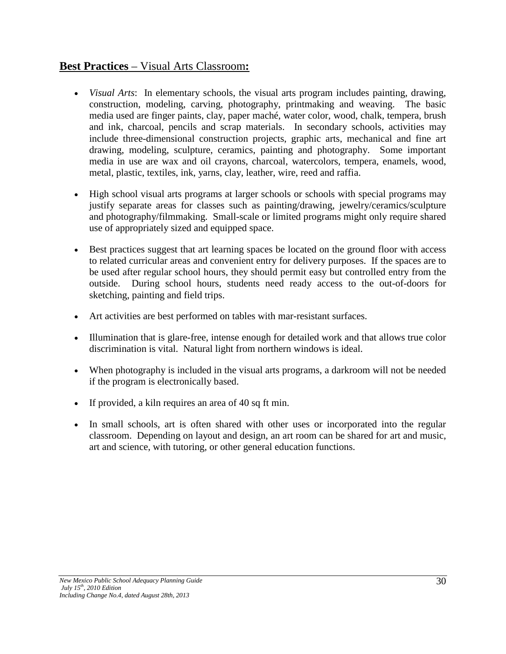# **Best Practices** – Visual Arts Classroom**:**

- *Visual Arts*: In elementary schools, the visual arts program includes painting, drawing, construction, modeling, carving, photography, printmaking and weaving. The basic media used are finger paints, clay, paper maché, water color, wood, chalk, tempera, brush and ink, charcoal, pencils and scrap materials. In secondary schools, activities may include three-dimensional construction projects, graphic arts, mechanical and fine art drawing, modeling, sculpture, ceramics, painting and photography. Some important media in use are wax and oil crayons, charcoal, watercolors, tempera, enamels, wood, metal, plastic, textiles, ink, yarns, clay, leather, wire, reed and raffia.
- High school visual arts programs at larger schools or schools with special programs may justify separate areas for classes such as painting/drawing, jewelry/ceramics/sculpture and photography/filmmaking. Small-scale or limited programs might only require shared use of appropriately sized and equipped space.
- Best practices suggest that art learning spaces be located on the ground floor with access to related curricular areas and convenient entry for delivery purposes. If the spaces are to be used after regular school hours, they should permit easy but controlled entry from the outside. During school hours, students need ready access to the out-of-doors for sketching, painting and field trips.
- Art activities are best performed on tables with mar-resistant surfaces.
- Illumination that is glare-free, intense enough for detailed work and that allows true color discrimination is vital. Natural light from northern windows is ideal.
- When photography is included in the visual arts programs, a darkroom will not be needed if the program is electronically based.
- If provided, a kiln requires an area of 40 sq ft min.
- In small schools, art is often shared with other uses or incorporated into the regular classroom. Depending on layout and design, an art room can be shared for art and music, art and science, with tutoring, or other general education functions.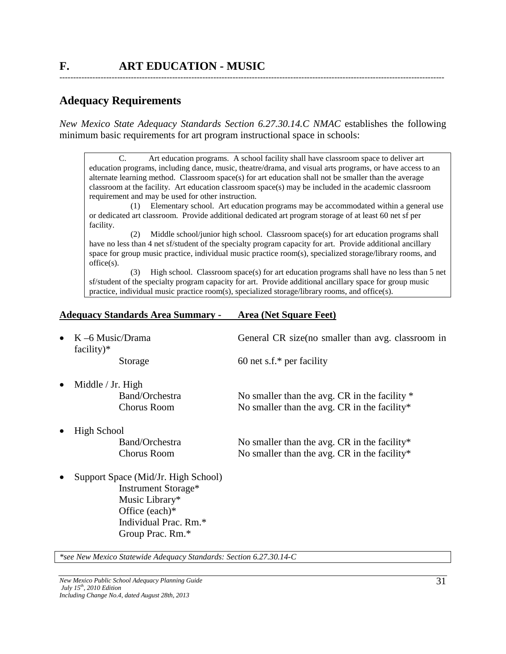### **Adequacy Requirements**

*New Mexico State Adequacy Standards Section 6.27.30.14.C NMAC* establishes the following minimum basic requirements for art program instructional space in schools:

--------------------------------------------------------------------------------------------------------------------------------------------

C. Art education programs. A school facility shall have classroom space to deliver art education programs, including dance, music, theatre/drama, and visual arts programs, or have access to an alternate learning method. Classroom space(s) for art education shall not be smaller than the average classroom at the facility. Art education classroom space(s) may be included in the academic classroom requirement and may be used for other instruction.

 (1) Elementary school. Art education programs may be accommodated within a general use or dedicated art classroom. Provide additional dedicated art program storage of at least 60 net sf per facility.

 (2) Middle school/junior high school. Classroom space(s) for art education programs shall have no less than 4 net sf/student of the specialty program capacity for art. Provide additional ancillary space for group music practice, individual music practice room(s), specialized storage/library rooms, and office(s).

 (3) High school. Classroom space(s) for art education programs shall have no less than 5 net sf/student of the specialty program capacity for art. Provide additional ancillary space for group music practice, individual music practice room(s), specialized storage/library rooms, and office(s).

#### **Adequacy Standards Area Summary - Area (Net Square Feet)**

| • $K-6$ Music/Drama<br>$facility)*$           | General CR size (no smaller than avg. classroom in |
|-----------------------------------------------|----------------------------------------------------|
| Storage                                       | 60 net s.f.* per facility                          |
| $\bullet$ Middle / Jr. High<br>Band/Orchestra | No smaller than the avg. CR in the facility *      |

Chorus Room No smaller than the avg. CR in the facility\*

• High School

- Band/Orchestra No smaller than the avg. CR in the facility\* Chorus Room No smaller than the avg. CR in the facility\*
- Support Space (Mid/Jr. High School) Instrument Storage\* Music Library\* Office (each)\* Individual Prac. Rm.\* Group Prac. Rm.\*

*\*see New Mexico Statewide Adequacy Standards: Section 6.27.30.14-C*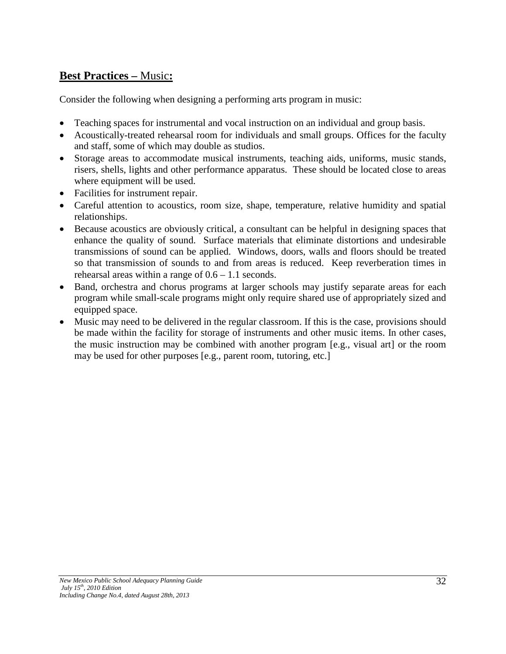## **Best Practices –** Music**:**

Consider the following when designing a performing arts program in music:

- Teaching spaces for instrumental and vocal instruction on an individual and group basis.
- Acoustically-treated rehearsal room for individuals and small groups. Offices for the faculty and staff, some of which may double as studios.
- Storage areas to accommodate musical instruments, teaching aids, uniforms, music stands, risers, shells, lights and other performance apparatus. These should be located close to areas where equipment will be used.
- Facilities for instrument repair.
- Careful attention to acoustics, room size, shape, temperature, relative humidity and spatial relationships.
- Because acoustics are obviously critical, a consultant can be helpful in designing spaces that enhance the quality of sound. Surface materials that eliminate distortions and undesirable transmissions of sound can be applied. Windows, doors, walls and floors should be treated so that transmission of sounds to and from areas is reduced. Keep reverberation times in rehearsal areas within a range of  $0.6 - 1.1$  seconds.
- Band, orchestra and chorus programs at larger schools may justify separate areas for each program while small-scale programs might only require shared use of appropriately sized and equipped space.
- Music may need to be delivered in the regular classroom. If this is the case, provisions should be made within the facility for storage of instruments and other music items. In other cases, the music instruction may be combined with another program [e.g., visual art] or the room may be used for other purposes [e.g., parent room, tutoring, etc.]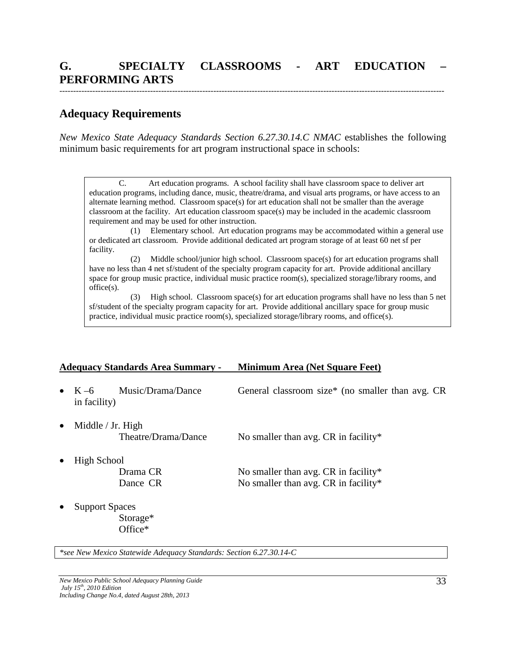## **Adequacy Requirements**

*New Mexico State Adequacy Standards Section 6.27.30.14.C NMAC* establishes the following minimum basic requirements for art program instructional space in schools:

C. Art education programs. A school facility shall have classroom space to deliver art education programs, including dance, music, theatre/drama, and visual arts programs, or have access to an alternate learning method. Classroom space(s) for art education shall not be smaller than the average classroom at the facility. Art education classroom space(s) may be included in the academic classroom requirement and may be used for other instruction.

 (1) Elementary school. Art education programs may be accommodated within a general use or dedicated art classroom. Provide additional dedicated art program storage of at least 60 net sf per facility.

 (2) Middle school/junior high school. Classroom space(s) for art education programs shall have no less than 4 net sf/student of the specialty program capacity for art. Provide additional ancillary space for group music practice, individual music practice room(s), specialized storage/library rooms, and office(s).

 (3) High school. Classroom space(s) for art education programs shall have no less than 5 net sf/student of the specialty program capacity for art. Provide additional ancillary space for group music practice, individual music practice room(s), specialized storage/library rooms, and office(s).

#### **Adequacy Standards Area Summary - Minimum Area (Net Square Feet)**

in facility)

• K –6 Music/Drama/Dance General classroom size\* (no smaller than avg. CR

Middle / Jr. High

Theatre/Drama/Dance No smaller than avg. CR in facility\*

• High School

Drama CR No smaller than avg. CR in facility\* Dance CR No smaller than avg. CR in facility\*

**Support Spaces** 

Storage\* Office\*

*\*see New Mexico Statewide Adequacy Standards: Section 6.27.30.14-C*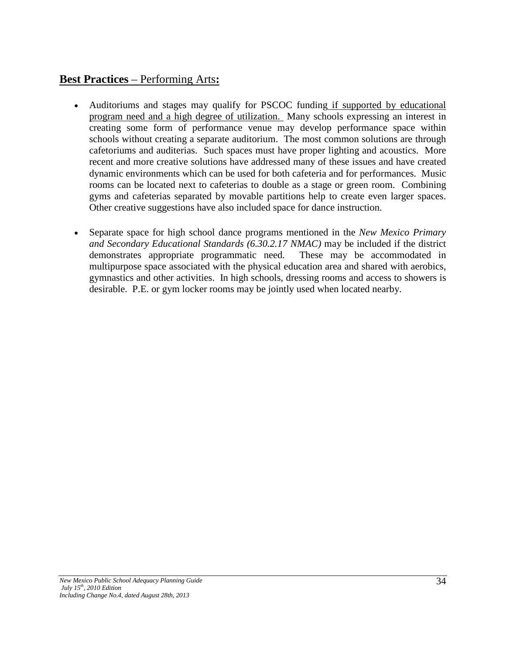# **Best Practices** – Performing Arts**:**

- Auditoriums and stages may qualify for PSCOC funding if supported by educational program need and a high degree of utilization. Many schools expressing an interest in creating some form of performance venue may develop performance space within schools without creating a separate auditorium. The most common solutions are through cafetoriums and auditerias. Such spaces must have proper lighting and acoustics. More recent and more creative solutions have addressed many of these issues and have created dynamic environments which can be used for both cafeteria and for performances. Music rooms can be located next to cafeterias to double as a stage or green room. Combining gyms and cafeterias separated by movable partitions help to create even larger spaces. Other creative suggestions have also included space for dance instruction.
- Separate space for high school dance programs mentioned in the *New Mexico Primary and Secondary Educational Standards (6.30.2.17 NMAC)* may be included if the district demonstrates appropriate programmatic need. These may be accommodated in multipurpose space associated with the physical education area and shared with aerobics, gymnastics and other activities. In high schools, dressing rooms and access to showers is desirable. P.E. or gym locker rooms may be jointly used when located nearby.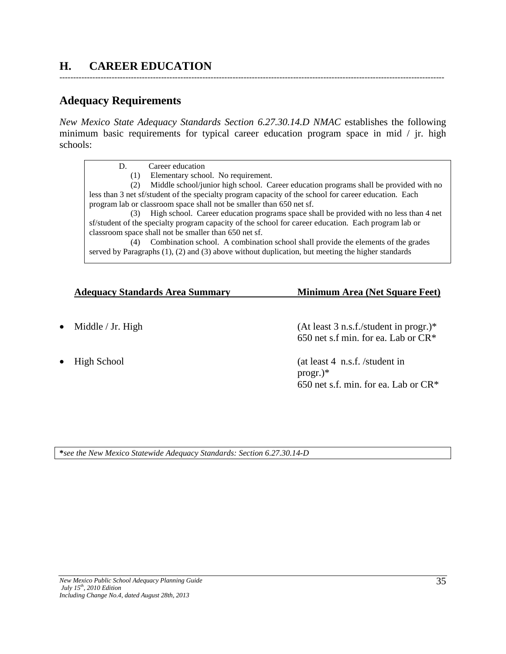# **H. CAREER EDUCATION**

## **Adequacy Requirements**

*New Mexico State Adequacy Standards Section 6.27.30.14.D NMAC* establishes the following minimum basic requirements for typical career education program space in mid / jr. high schools:

--------------------------------------------------------------------------------------------------------------------------------------------

D. Career education (1) Elementary school. No requirement. (2) Middle school/junior high school. Career education programs shall be provided with no less than 3 net sf/student of the specialty program capacity of the school for career education. Each program lab or classroom space shall not be smaller than 650 net sf. (3) High school. Career education programs space shall be provided with no less than 4 net sf/student of the specialty program capacity of the school for career education. Each program lab or classroom space shall not be smaller than 650 net sf. (4) Combination school. A combination school shall provide the elements of the grades served by Paragraphs (1), (2) and (3) above without duplication, but meeting the higher standards

#### **Adequacy Standards Area Summary Minimum Area (Net Square Feet)**

- 
- 

Middle / Jr. High (At least 3 n.s.f./student in progr.)\* 650 net s.f min. for ea. Lab or CR\*

• High School (at least 4 n.s.f. /student in progr.)\* 650 net s.f. min. for ea. Lab or CR\*

**\****see the New Mexico Statewide Adequacy Standards: Section 6.27.30.14-D*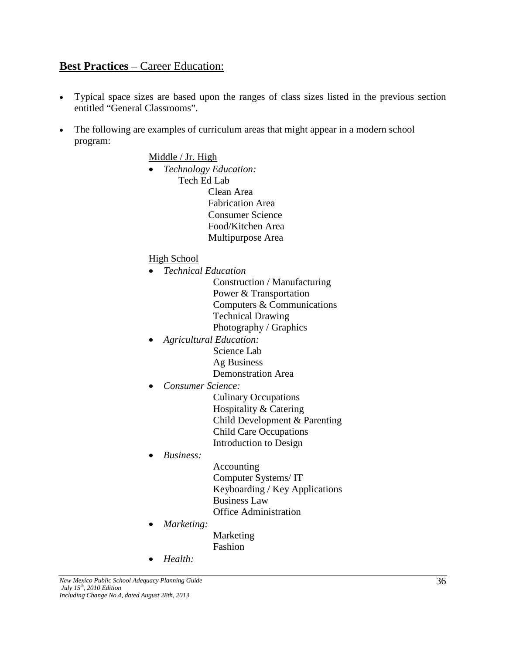## **Best Practices** – Career Education:

- Typical space sizes are based upon the ranges of class sizes listed in the previous section entitled "General Classrooms".
- The following are examples of curriculum areas that might appear in a modern school program:

#### Middle / Jr. High

• *Technology Education:* Tech Ed Lab Clean Area Fabrication Area Consumer Science Food/Kitchen Area Multipurpose Area

#### High School

- *Technical Education*
	- Construction / Manufacturing Power & Transportation Computers & Communications Technical Drawing Photography / Graphics
- *Agricultural Education:* Science Lab Ag Business
	- Demonstration Area
- *Consumer Science:*

Culinary Occupations Hospitality & Catering Child Development & Parenting Child Care Occupations Introduction to Design

• *Business:*

Accounting Computer Systems/ IT Keyboarding / Key Applications Business Law Office Administration

• *Marketing:*

Marketing Fashion

• *Health:*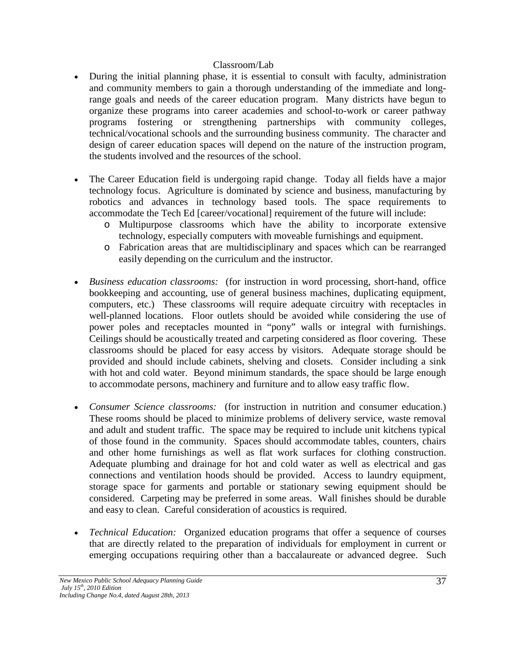#### Classroom/Lab

- During the initial planning phase, it is essential to consult with faculty, administration and community members to gain a thorough understanding of the immediate and longrange goals and needs of the career education program. Many districts have begun to organize these programs into career academies and school-to-work or career pathway programs fostering or strengthening partnerships with community colleges, technical/vocational schools and the surrounding business community. The character and design of career education spaces will depend on the nature of the instruction program, the students involved and the resources of the school.
- The Career Education field is undergoing rapid change. Today all fields have a major technology focus. Agriculture is dominated by science and business, manufacturing by robotics and advances in technology based tools. The space requirements to accommodate the Tech Ed [career/vocational] requirement of the future will include:
	- o Multipurpose classrooms which have the ability to incorporate extensive technology, especially computers with moveable furnishings and equipment.
	- o Fabrication areas that are multidisciplinary and spaces which can be rearranged easily depending on the curriculum and the instructor.
- *Business education classrooms:* (for instruction in word processing, short-hand, office bookkeeping and accounting, use of general business machines, duplicating equipment, computers, etc.) These classrooms will require adequate circuitry with receptacles in well-planned locations. Floor outlets should be avoided while considering the use of power poles and receptacles mounted in "pony" walls or integral with furnishings. Ceilings should be acoustically treated and carpeting considered as floor covering. These classrooms should be placed for easy access by visitors. Adequate storage should be provided and should include cabinets, shelving and closets. Consider including a sink with hot and cold water. Beyond minimum standards, the space should be large enough to accommodate persons, machinery and furniture and to allow easy traffic flow.
- *Consumer Science classrooms:* (for instruction in nutrition and consumer education.) These rooms should be placed to minimize problems of delivery service, waste removal and adult and student traffic. The space may be required to include unit kitchens typical of those found in the community. Spaces should accommodate tables, counters, chairs and other home furnishings as well as flat work surfaces for clothing construction. Adequate plumbing and drainage for hot and cold water as well as electrical and gas connections and ventilation hoods should be provided. Access to laundry equipment, storage space for garments and portable or stationary sewing equipment should be considered. Carpeting may be preferred in some areas. Wall finishes should be durable and easy to clean. Careful consideration of acoustics is required.
- *Technical Education:* Organized education programs that offer a sequence of courses that are directly related to the preparation of individuals for employment in current or emerging occupations requiring other than a baccalaureate or advanced degree. Such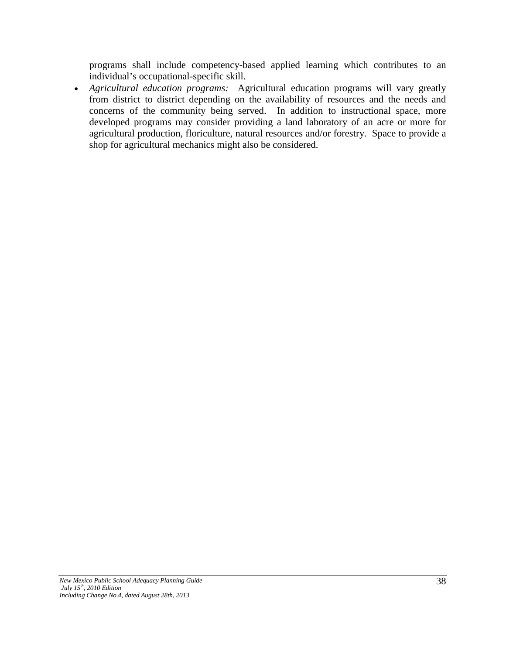programs shall include competency-based applied learning which contributes to an individual's occupational-specific skill.

• *Agricultural education programs:* Agricultural education programs will vary greatly from district to district depending on the availability of resources and the needs and concerns of the community being served. In addition to instructional space, more developed programs may consider providing a land laboratory of an acre or more for agricultural production, floriculture, natural resources and/or forestry. Space to provide a shop for agricultural mechanics might also be considered.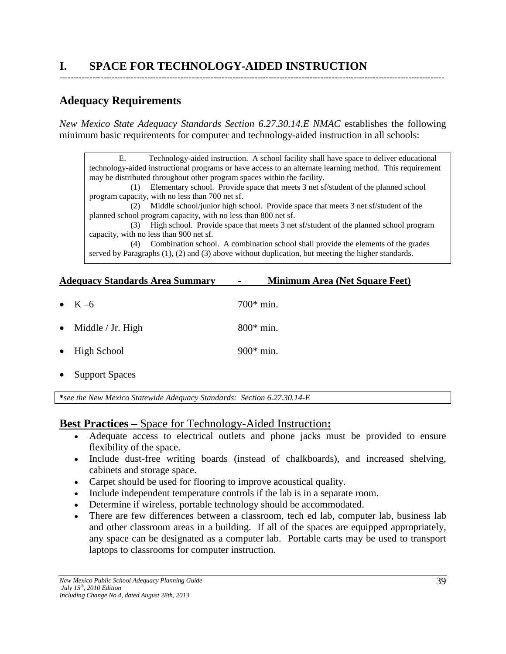# **Adequacy Requirements**

*New Mexico State Adequacy Standards Section 6.27.30.14.E NMAC* establishes the following minimum basic requirements for computer and technology-aided instruction in all schools:

--------------------------------------------------------------------------------------------------------------------------------------------

E. Technology-aided instruction. A school facility shall have space to deliver educational technology-aided instructional programs or have access to an alternate learning method. This requirement may be distributed throughout other program spaces within the facility. (1) Elementary school. Provide space that meets 3 net sf/student of the planned school program capacity, with no less than 700 net sf. (2) Middle school/junior high school. Provide space that meets 3 net sf/student of the planned school program capacity, with no less than 800 net sf. (3) High school. Provide space that meets 3 net sf/student of the planned school program capacity, with no less than 900 net sf. (4) Combination school. A combination school shall provide the elements of the grades served by Paragraphs (1), (2) and (3) above without duplication, but meeting the higher standards.

### **Adequacy Standards Area Summary - Minimum Area (Net Square Feet)**

 $K = 6$  700\* min. Middle / Jr. High  $800^*$  min. • High School 900\* min. **Support Spaces** 

**\****see the New Mexico Statewide Adequacy Standards: Section 6.27.30.14-E*

## **Best Practices –** Space for Technology-Aided Instruction**:**

- Adequate access to electrical outlets and phone jacks must be provided to ensure flexibility of the space.
- Include dust-free writing boards (instead of chalkboards), and increased shelving, cabinets and storage space.
- Carpet should be used for flooring to improve acoustical quality.
- Include independent temperature controls if the lab is in a separate room.
- Determine if wireless, portable technology should be accommodated.
- There are few differences between a classroom, tech ed lab, computer lab, business lab and other classroom areas in a building. If all of the spaces are equipped appropriately, any space can be designated as a computer lab. Portable carts may be used to transport laptops to classrooms for computer instruction.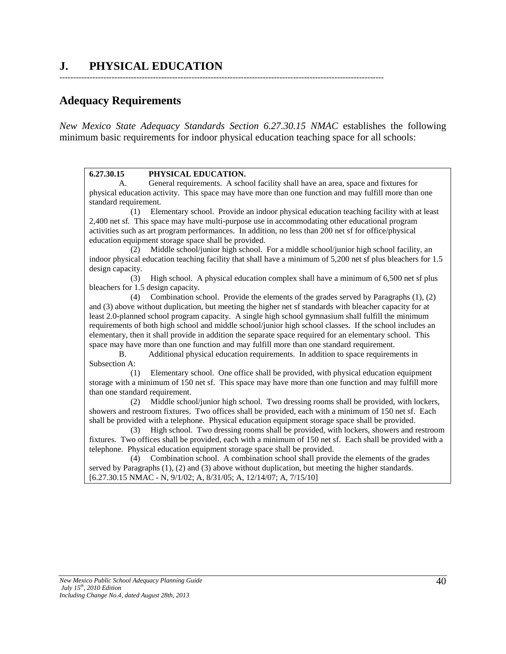# **J. PHYSICAL EDUCATION**

### **Adequacy Requirements**

*New Mexico State Adequacy Standards Section 6.27.30.15 NMAC* establishes the following minimum basic requirements for indoor physical education teaching space for all schools:

----------------------------------------------------------------------------------------------------------------------

#### **6.27.30.15 PHYSICAL EDUCATION.**

A. General requirements. A school facility shall have an area, space and fixtures for physical education activity. This space may have more than one function and may fulfill more than one standard requirement.

 (1) Elementary school. Provide an indoor physical education teaching facility with at least 2,400 net sf. This space may have multi-purpose use in accommodating other educational program activities such as art program performances. In addition, no less than 200 net sf for office/physical education equipment storage space shall be provided.

 (2) Middle school/junior high school. For a middle school/junior high school facility, an indoor physical education teaching facility that shall have a minimum of 5,200 net sf plus bleachers for 1.5 design capacity.

 (3) High school. A physical education complex shall have a minimum of 6,500 net sf plus bleachers for 1.5 design capacity.

 (4) Combination school. Provide the elements of the grades served by Paragraphs (1), (2) and (3) above without duplication, but meeting the higher net sf standards with bleacher capacity for at least 2.0-planned school program capacity. A single high school gymnasium shall fulfill the minimum requirements of both high school and middle school/junior high school classes. If the school includes an elementary, then it shall provide in addition the separate space required for an elementary school. This space may have more than one function and may fulfill more than one standard requirement.

B. Additional physical education requirements. In addition to space requirements in Subsection A:

 (1) Elementary school. One office shall be provided, with physical education equipment storage with a minimum of 150 net sf. This space may have more than one function and may fulfill more than one standard requirement.

 (2) Middle school/junior high school. Two dressing rooms shall be provided, with lockers, showers and restroom fixtures. Two offices shall be provided, each with a minimum of 150 net sf. Each shall be provided with a telephone. Physical education equipment storage space shall be provided.

 (3) High school. Two dressing rooms shall be provided, with lockers, showers and restroom fixtures. Two offices shall be provided, each with a minimum of 150 net sf. Each shall be provided with a telephone. Physical education equipment storage space shall be provided.

 (4) Combination school. A combination school shall provide the elements of the grades served by Paragraphs (1), (2) and (3) above without duplication, but meeting the higher standards. [6.27.30.15 NMAC - N, 9/1/02; A, 8/31/05; A, 12/14/07; A, 7/15/10]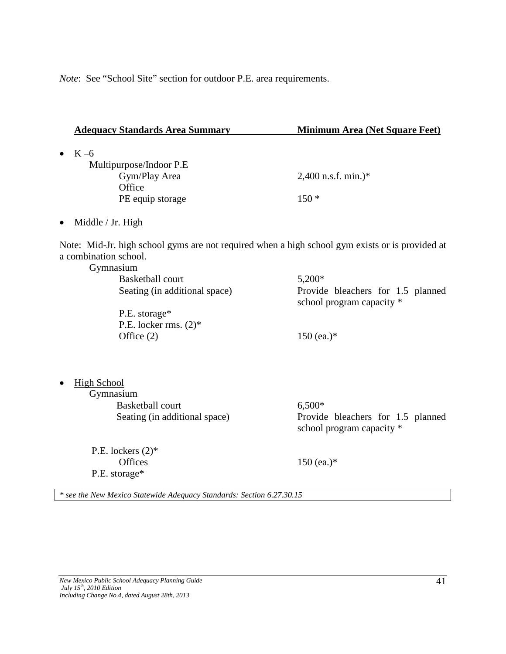*Note*: See "School Site" section for outdoor P.E. area requirements.

|                                 | <b>Adequacy Standards Area Summary</b>                                                          | <b>Minimum Area (Net Square Feet)</b>                          |
|---------------------------------|-------------------------------------------------------------------------------------------------|----------------------------------------------------------------|
| $K-6$<br>$\bullet$              |                                                                                                 |                                                                |
|                                 | Multipurpose/Indoor P.E                                                                         |                                                                |
|                                 | Gym/Play Area<br>Office                                                                         | $2,400$ n.s.f. min.)*                                          |
|                                 | PE equip storage                                                                                | $150*$                                                         |
|                                 |                                                                                                 |                                                                |
| Middle / Jr. High<br>$\bullet$  |                                                                                                 |                                                                |
| a combination school.           | Note: Mid-Jr. high school gyms are not required when a high school gym exists or is provided at |                                                                |
| Gymnasium                       |                                                                                                 |                                                                |
|                                 | <b>Basketball court</b>                                                                         | 5,200*                                                         |
|                                 | Seating (in additional space)                                                                   | Provide bleachers for 1.5 planned<br>school program capacity * |
|                                 | P.E. storage*                                                                                   |                                                                |
|                                 | P.E. locker rms. $(2)^*$                                                                        |                                                                |
|                                 | Office $(2)$                                                                                    | 150 (ea.) $*$                                                  |
| <b>High School</b><br>$\bullet$ |                                                                                                 |                                                                |
| Gymnasium                       |                                                                                                 |                                                                |
|                                 | <b>Basketball court</b>                                                                         | $6,500*$                                                       |
|                                 | Seating (in additional space)                                                                   | Provide bleachers for 1.5 planned<br>school program capacity * |
|                                 | P.E. lockers $(2)^*$                                                                            |                                                                |
|                                 | <b>Offices</b>                                                                                  | 150 (ea.) $*$                                                  |
|                                 | P.E. storage*                                                                                   |                                                                |
|                                 | * see the New Mexico Statewide Adequacy Standards: Section 6.27.30.15                           |                                                                |
|                                 |                                                                                                 |                                                                |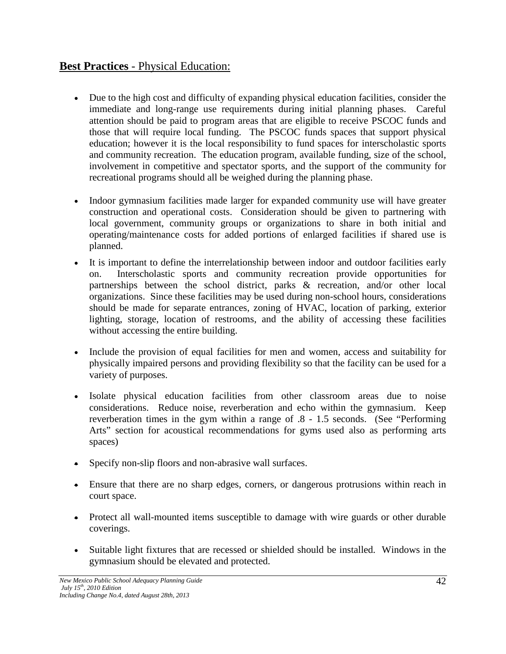# **Best Practices - Physical Education:**

- Due to the high cost and difficulty of expanding physical education facilities, consider the immediate and long-range use requirements during initial planning phases. Careful attention should be paid to program areas that are eligible to receive PSCOC funds and those that will require local funding. The PSCOC funds spaces that support physical education; however it is the local responsibility to fund spaces for interscholastic sports and community recreation. The education program, available funding, size of the school, involvement in competitive and spectator sports, and the support of the community for recreational programs should all be weighed during the planning phase.
- Indoor gymnasium facilities made larger for expanded community use will have greater construction and operational costs. Consideration should be given to partnering with local government, community groups or organizations to share in both initial and operating/maintenance costs for added portions of enlarged facilities if shared use is planned.
- It is important to define the interrelationship between indoor and outdoor facilities early on. Interscholastic sports and community recreation provide opportunities for partnerships between the school district, parks & recreation, and/or other local organizations. Since these facilities may be used during non-school hours, considerations should be made for separate entrances, zoning of HVAC, location of parking, exterior lighting, storage, location of restrooms, and the ability of accessing these facilities without accessing the entire building.
- Include the provision of equal facilities for men and women, access and suitability for physically impaired persons and providing flexibility so that the facility can be used for a variety of purposes.
- Isolate physical education facilities from other classroom areas due to noise considerations. Reduce noise, reverberation and echo within the gymnasium. Keep reverberation times in the gym within a range of .8 - 1.5 seconds. (See "Performing Arts" section for acoustical recommendations for gyms used also as performing arts spaces)
- Specify non-slip floors and non-abrasive wall surfaces.
- Ensure that there are no sharp edges, corners, or dangerous protrusions within reach in court space.
- Protect all wall-mounted items susceptible to damage with wire guards or other durable coverings.
- Suitable light fixtures that are recessed or shielded should be installed. Windows in the gymnasium should be elevated and protected.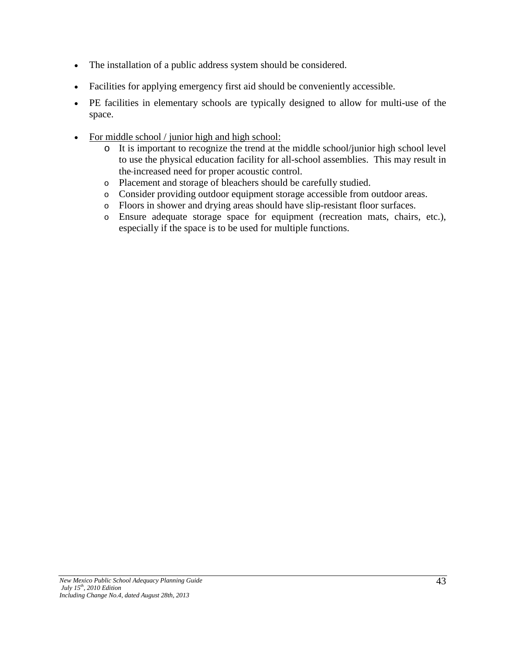- The installation of a public address system should be considered.
- Facilities for applying emergency first aid should be conveniently accessible.
- PE facilities in elementary schools are typically designed to allow for multi-use of the space.
- For middle school / junior high and high school:
	- o It is important to recognize the trend at the middle school/junior high school level to use the physical education facility for all-school assemblies. This may result in the increased need for proper acoustic control.
	- o Placement and storage of bleachers should be carefully studied.
	- o Consider providing outdoor equipment storage accessible from outdoor areas.
	- o Floors in shower and drying areas should have slip-resistant floor surfaces.
	- o Ensure adequate storage space for equipment (recreation mats, chairs, etc.), especially if the space is to be used for multiple functions.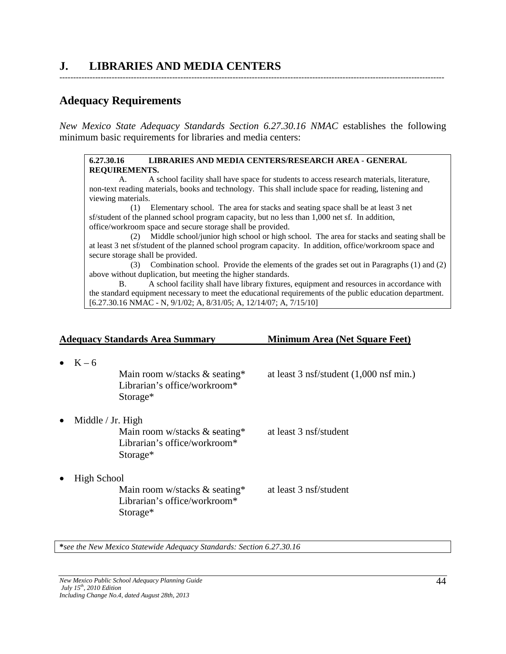# **J. LIBRARIES AND MEDIA CENTERS**

### **Adequacy Requirements**

*New Mexico State Adequacy Standards Section 6.27.30.16 NMAC* establishes the following minimum basic requirements for libraries and media centers:

--------------------------------------------------------------------------------------------------------------------------------------------

#### **6.27.30.16 LIBRARIES AND MEDIA CENTERS/RESEARCH AREA** - **GENERAL REQUIREMENTS.**

A. A school facility shall have space for students to access research materials, literature, non-text reading materials, books and technology. This shall include space for reading, listening and viewing materials.

 (1) Elementary school. The area for stacks and seating space shall be at least 3 net sf/student of the planned school program capacity, but no less than 1,000 net sf. In addition, office/workroom space and secure storage shall be provided.

 (2) Middle school/junior high school or high school. The area for stacks and seating shall be at least 3 net sf/student of the planned school program capacity. In addition, office/workroom space and secure storage shall be provided.

 (3) Combination school. Provide the elements of the grades set out in Paragraphs (1) and (2) above without duplication, but meeting the higher standards.

B. A school facility shall have library fixtures, equipment and resources in accordance with the standard equipment necessary to meet the educational requirements of the public education department. [6.27.30.16 NMAC - N, 9/1/02; A, 8/31/05; A, 12/14/07; A, 7/15/10]

|                 | <b>Adequacy Standards Area Summary</b>                                                           | <b>Minimum Area (Net Square Feet)</b>             |
|-----------------|--------------------------------------------------------------------------------------------------|---------------------------------------------------|
| $\bullet$ K – 6 | Main room w/stacks $\&$ seating*<br>Librarian's office/workroom*<br>Storage*                     | at least $3 \text{ nsf/student}$ (1,000 nsf min.) |
| $\bullet$       | Middle / Jr. High<br>Main room w/stacks $&$ seating*<br>Librarian's office/workroom*<br>Storage* | at least 3 nsf/student                            |
| $\bullet$       | High School<br>Main room w/stacks $\&$ seating*<br>Librarian's office/workroom*<br>Storage*      | at least 3 nsf/student                            |

**\****see the New Mexico Statewide Adequacy Standards: Section 6.27.30.16*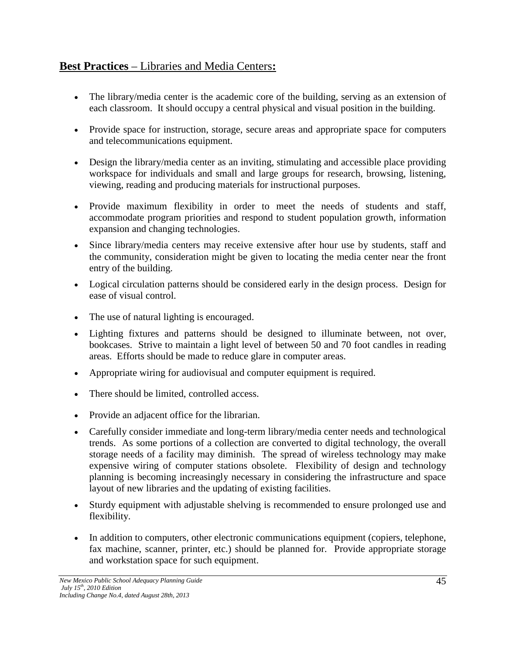# **Best Practices** – Libraries and Media Centers**:**

- The library/media center is the academic core of the building, serving as an extension of each classroom. It should occupy a central physical and visual position in the building.
- Provide space for instruction, storage, secure areas and appropriate space for computers and telecommunications equipment.
- Design the library/media center as an inviting, stimulating and accessible place providing workspace for individuals and small and large groups for research, browsing, listening, viewing, reading and producing materials for instructional purposes.
- Provide maximum flexibility in order to meet the needs of students and staff, accommodate program priorities and respond to student population growth, information expansion and changing technologies.
- Since library/media centers may receive extensive after hour use by students, staff and the community, consideration might be given to locating the media center near the front entry of the building.
- Logical circulation patterns should be considered early in the design process. Design for ease of visual control.
- The use of natural lighting is encouraged.
- Lighting fixtures and patterns should be designed to illuminate between, not over, bookcases. Strive to maintain a light level of between 50 and 70 foot candles in reading areas. Efforts should be made to reduce glare in computer areas.
- Appropriate wiring for audiovisual and computer equipment is required.
- There should be limited, controlled access.
- Provide an adjacent office for the librarian.
- Carefully consider immediate and long-term library/media center needs and technological trends. As some portions of a collection are converted to digital technology, the overall storage needs of a facility may diminish. The spread of wireless technology may make expensive wiring of computer stations obsolete. Flexibility of design and technology planning is becoming increasingly necessary in considering the infrastructure and space layout of new libraries and the updating of existing facilities.
- Sturdy equipment with adjustable shelving is recommended to ensure prolonged use and flexibility.
- In addition to computers, other electronic communications equipment (copiers, telephone, fax machine, scanner, printer, etc.) should be planned for. Provide appropriate storage and workstation space for such equipment.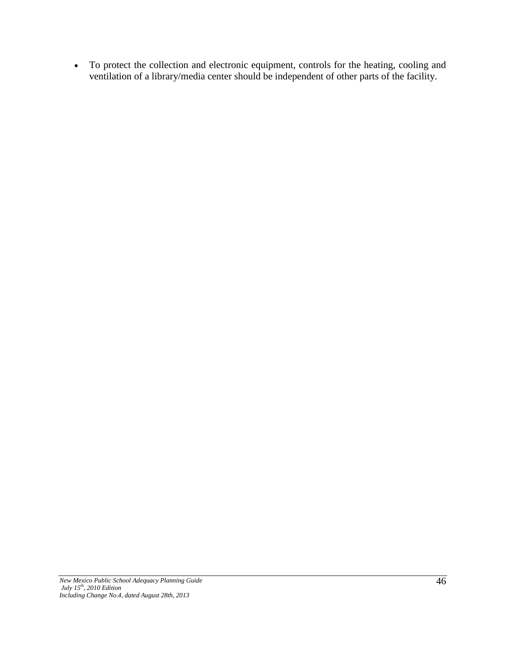• To protect the collection and electronic equipment, controls for the heating, cooling and ventilation of a library/media center should be independent of other parts of the facility.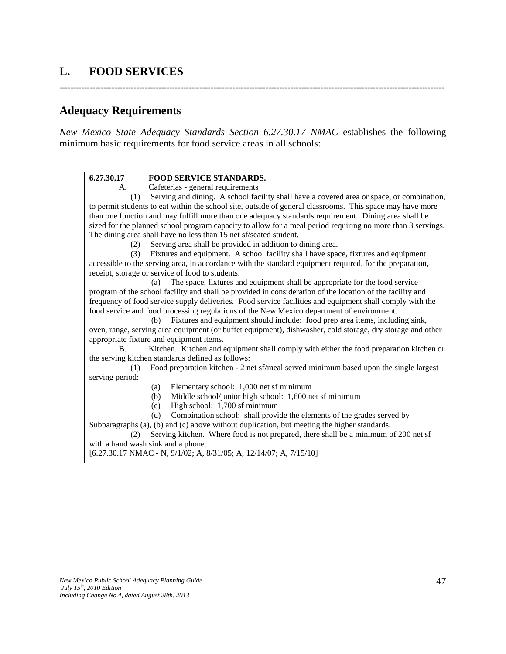# **L. FOOD SERVICES**

--------------------------------------------------------------------------------------------------------------------------------------------

## **Adequacy Requirements**

*New Mexico State Adequacy Standards Section 6.27.30.17 NMAC* establishes the following minimum basic requirements for food service areas in all schools:

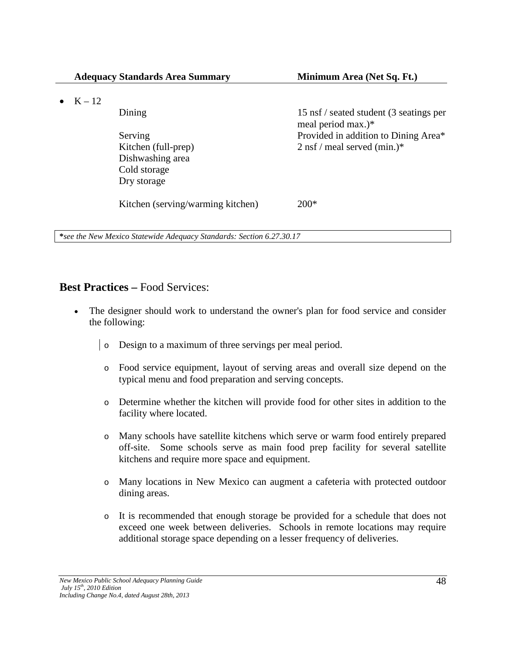•  $K - 12$ 

Dishwashing area Cold storage Dry storage

Dining 15 nsf / seated student (3 seatings per meal period max.)\* Serving Provided in addition to Dining Area\* Kitchen (full-prep) 2 nsf / meal served (min.)\*

Kitchen (serving/warming kitchen) 200<sup>\*</sup>

**\****see the New Mexico Statewide Adequacy Standards: Section 6.27.30.17*

### **Best Practices –** Food Services:

- The designer should work to understand the owner's plan for food service and consider the following:
	- o Design to a maximum of three servings per meal period.
	- o Food service equipment, layout of serving areas and overall size depend on the typical menu and food preparation and serving concepts.
	- o Determine whether the kitchen will provide food for other sites in addition to the facility where located.
	- o Many schools have satellite kitchens which serve or warm food entirely prepared off-site. Some schools serve as main food prep facility for several satellite kitchens and require more space and equipment.
	- o Many locations in New Mexico can augment a cafeteria with protected outdoor dining areas.
	- o It is recommended that enough storage be provided for a schedule that does not exceed one week between deliveries. Schools in remote locations may require additional storage space depending on a lesser frequency of deliveries.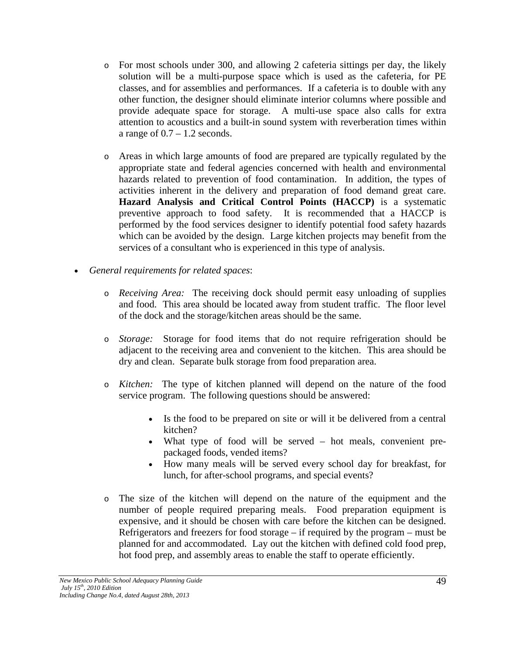- o For most schools under 300, and allowing 2 cafeteria sittings per day, the likely solution will be a multi-purpose space which is used as the cafeteria, for PE classes, and for assemblies and performances. If a cafeteria is to double with any other function, the designer should eliminate interior columns where possible and provide adequate space for storage. A multi-use space also calls for extra attention to acoustics and a built-in sound system with reverberation times within a range of  $0.7 - 1.2$  seconds.
- o Areas in which large amounts of food are prepared are typically regulated by the appropriate state and federal agencies concerned with health and environmental hazards related to prevention of food contamination. In addition, the types of activities inherent in the delivery and preparation of food demand great care. **Hazard Analysis and Critical Control Points (HACCP)** is a systematic preventive approach to food safety. It is recommended that a HACCP is performed by the food services designer to identify potential food safety hazards which can be avoided by the design. Large kitchen projects may benefit from the services of a consultant who is experienced in this type of analysis.
- *General requirements for related spaces*:
	- o *Receiving Area:* The receiving dock should permit easy unloading of supplies and food. This area should be located away from student traffic. The floor level of the dock and the storage/kitchen areas should be the same.
	- o *Storage:* Storage for food items that do not require refrigeration should be adjacent to the receiving area and convenient to the kitchen. This area should be dry and clean. Separate bulk storage from food preparation area.
	- o *Kitchen:* The type of kitchen planned will depend on the nature of the food service program. The following questions should be answered:
		- Is the food to be prepared on site or will it be delivered from a central kitchen?
		- What type of food will be served hot meals, convenient prepackaged foods, vended items?
		- How many meals will be served every school day for breakfast, for lunch, for after-school programs, and special events?
	- o The size of the kitchen will depend on the nature of the equipment and the number of people required preparing meals. Food preparation equipment is expensive, and it should be chosen with care before the kitchen can be designed. Refrigerators and freezers for food storage – if required by the program – must be planned for and accommodated. Lay out the kitchen with defined cold food prep, hot food prep, and assembly areas to enable the staff to operate efficiently.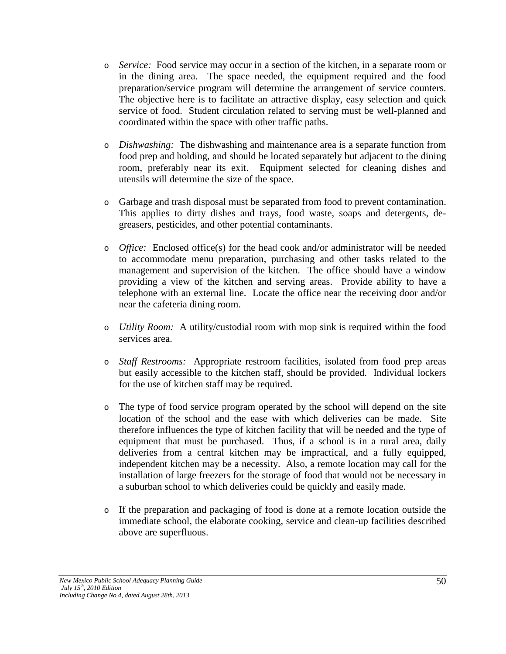- o *Service:* Food service may occur in a section of the kitchen, in a separate room or in the dining area. The space needed, the equipment required and the food preparation/service program will determine the arrangement of service counters. The objective here is to facilitate an attractive display, easy selection and quick service of food. Student circulation related to serving must be well-planned and coordinated within the space with other traffic paths.
- o *Dishwashing:* The dishwashing and maintenance area is a separate function from food prep and holding, and should be located separately but adjacent to the dining room, preferably near its exit. Equipment selected for cleaning dishes and utensils will determine the size of the space.
- o Garbage and trash disposal must be separated from food to prevent contamination. This applies to dirty dishes and trays, food waste, soaps and detergents, degreasers, pesticides, and other potential contaminants.
- o *Office:* Enclosed office(s) for the head cook and/or administrator will be needed to accommodate menu preparation, purchasing and other tasks related to the management and supervision of the kitchen. The office should have a window providing a view of the kitchen and serving areas. Provide ability to have a telephone with an external line. Locate the office near the receiving door and/or near the cafeteria dining room.
- o *Utility Room:* A utility/custodial room with mop sink is required within the food services area.
- o *Staff Restrooms:* Appropriate restroom facilities, isolated from food prep areas but easily accessible to the kitchen staff, should be provided. Individual lockers for the use of kitchen staff may be required.
- o The type of food service program operated by the school will depend on the site location of the school and the ease with which deliveries can be made. Site therefore influences the type of kitchen facility that will be needed and the type of equipment that must be purchased. Thus, if a school is in a rural area, daily deliveries from a central kitchen may be impractical, and a fully equipped, independent kitchen may be a necessity. Also, a remote location may call for the installation of large freezers for the storage of food that would not be necessary in a suburban school to which deliveries could be quickly and easily made.
- o If the preparation and packaging of food is done at a remote location outside the immediate school, the elaborate cooking, service and clean-up facilities described above are superfluous.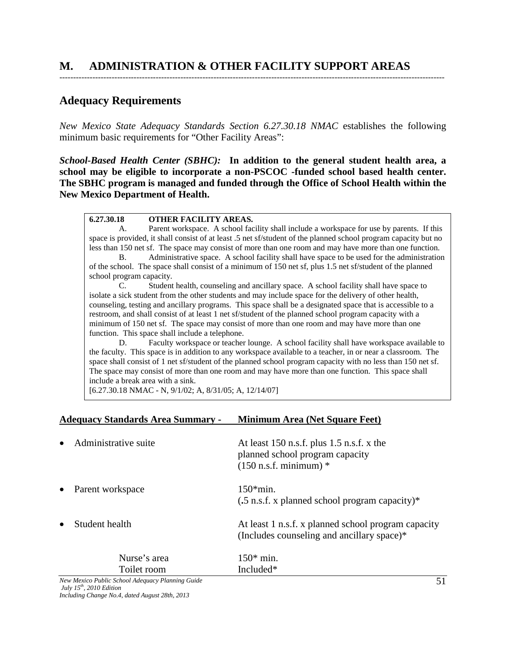# **M. ADMINISTRATION & OTHER FACILITY SUPPORT AREAS**

### **Adequacy Requirements**

*New Mexico State Adequacy Standards Section 6.27.30.18 NMAC* establishes the following minimum basic requirements for "Other Facility Areas":

--------------------------------------------------------------------------------------------------------------------------------------------

*School-Based Health Center (SBHC):* **In addition to the general student health area, a school may be eligible to incorporate a non-PSCOC -funded school based health center. The SBHC program is managed and funded through the Office of School Health within the New Mexico Department of Health.**

#### **6.27.30.18 OTHER FACILITY AREAS.**

A. Parent workspace. A school facility shall include a workspace for use by parents. If this space is provided, it shall consist of at least .5 net sf/student of the planned school program capacity but no less than 150 net sf. The space may consist of more than one room and may have more than one function.

B. Administrative space. A school facility shall have space to be used for the administration of the school. The space shall consist of a minimum of 150 net sf, plus 1.5 net sf/student of the planned school program capacity.

C. Student health, counseling and ancillary space. A school facility shall have space to isolate a sick student from the other students and may include space for the delivery of other health, counseling, testing and ancillary programs. This space shall be a designated space that is accessible to a restroom, and shall consist of at least 1 net sf/student of the planned school program capacity with a minimum of 150 net sf. The space may consist of more than one room and may have more than one function. This space shall include a telephone.

D. Faculty workspace or teacher lounge. A school facility shall have workspace available to the faculty. This space is in addition to any workspace available to a teacher, in or near a classroom. The space shall consist of 1 net sf/student of the planned school program capacity with no less than 150 net sf. The space may consist of more than one room and may have more than one function. This space shall include a break area with a sink.

[6.27.30.18 NMAC - N, 9/1/02; A, 8/31/05; A, 12/14/07]

#### **Adequacy Standards Area Summary - Minimum Area (Net Square Feet)**

| Administrative suite        | At least 150 n.s.f. plus $1.5$ n.s.f. x the<br>planned school program capacity<br>$(150 \text{ n.s.f. minimum})$ * |
|-----------------------------|--------------------------------------------------------------------------------------------------------------------|
| Parent workspace            | $150*min.$<br>$(.5 \text{ n.s.f. x planned school program capacity})$ *                                            |
| Student health              | At least 1 n.s.f. x planned school program capacity<br>(Includes counseling and ancillary space)*                  |
| Nurse's area<br>Toilet room | $150*$ min.<br>Included*                                                                                           |

*New Mexico Public School Adequacy Planning Guide July 15th, 2010 Edition Including Change No.4, dated August 28th, 2013*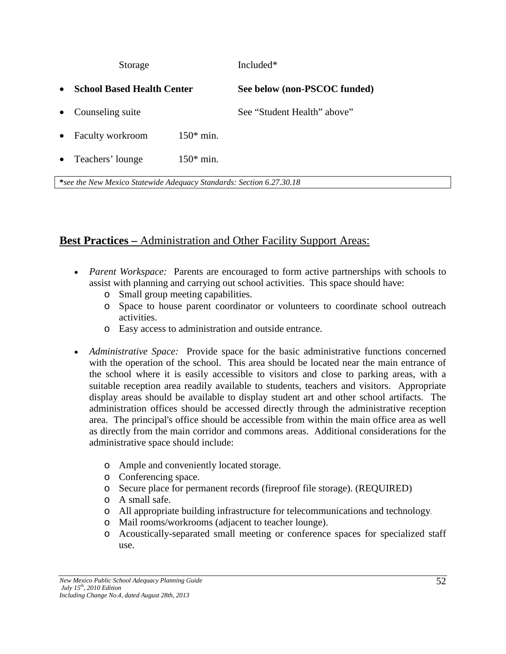|           | Storage                           | Included <sup>*</sup> |                              |  |  |  |
|-----------|-----------------------------------|-----------------------|------------------------------|--|--|--|
| $\bullet$ | <b>School Based Health Center</b> |                       | See below (non-PSCOC funded) |  |  |  |
|           | • Counseling suite                |                       | See "Student Health" above"  |  |  |  |
| $\bullet$ | Faculty workroom                  | $150*$ min.           |                              |  |  |  |
| $\bullet$ | Teachers' lounge                  | $150*$ min.           |                              |  |  |  |
|           |                                   |                       |                              |  |  |  |

**\****see the New Mexico Statewide Adequacy Standards: Section 6.27.30.18*

# **Best Practices –** Administration and Other Facility Support Areas:

- *Parent Workspace:* Parents are encouraged to form active partnerships with schools to assist with planning and carrying out school activities. This space should have:
	- o Small group meeting capabilities.
	- o Space to house parent coordinator or volunteers to coordinate school outreach activities.
	- o Easy access to administration and outside entrance.
- *Administrative Space:* Provide space for the basic administrative functions concerned with the operation of the school. This area should be located near the main entrance of the school where it is easily accessible to visitors and close to parking areas, with a suitable reception area readily available to students, teachers and visitors. Appropriate display areas should be available to display student art and other school artifacts. The administration offices should be accessed directly through the administrative reception area. The principal's office should be accessible from within the main office area as well as directly from the main corridor and commons areas. Additional considerations for the administrative space should include:
	- o Ample and conveniently located storage.
	- o Conferencing space.
	- o Secure place for permanent records (fireproof file storage). (REQUIRED)
	- o A small safe.
	- o All appropriate building infrastructure for telecommunications and technology.
	- o Mail rooms/workrooms (adjacent to teacher lounge).
	- o Acoustically-separated small meeting or conference spaces for specialized staff use.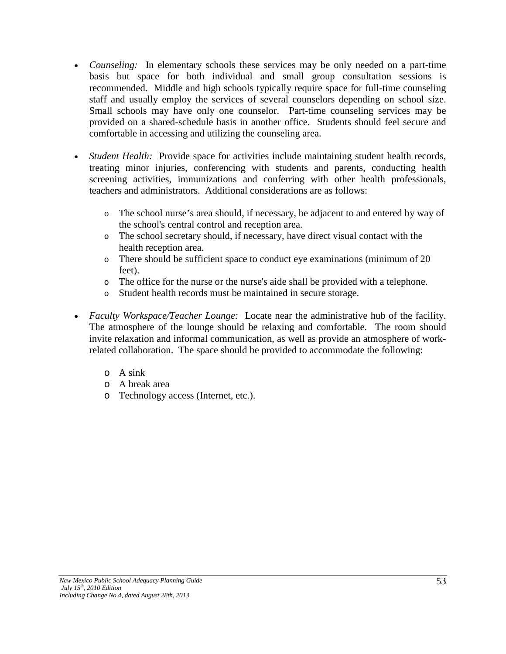- *Counseling:* In elementary schools these services may be only needed on a part-time basis but space for both individual and small group consultation sessions is recommended. Middle and high schools typically require space for full-time counseling staff and usually employ the services of several counselors depending on school size. Small schools may have only one counselor. Part-time counseling services may be provided on a shared-schedule basis in another office. Students should feel secure and comfortable in accessing and utilizing the counseling area.
- *Student Health:* Provide space for activities include maintaining student health records, treating minor injuries, conferencing with students and parents, conducting health screening activities, immunizations and conferring with other health professionals, teachers and administrators. Additional considerations are as follows:
	- o The school nurse's area should, if necessary, be adjacent to and entered by way of the school's central control and reception area.
	- o The school secretary should, if necessary, have direct visual contact with the health reception area.
	- o There should be sufficient space to conduct eye examinations (minimum of 20 feet).
	- o The office for the nurse or the nurse's aide shall be provided with a telephone.
	- o Student health records must be maintained in secure storage.
- *Faculty Workspace/Teacher Lounge:* Locate near the administrative hub of the facility. The atmosphere of the lounge should be relaxing and comfortable. The room should invite relaxation and informal communication, as well as provide an atmosphere of workrelated collaboration. The space should be provided to accommodate the following:
	- o A sink
	- o A break area
	- o Technology access (Internet, etc.).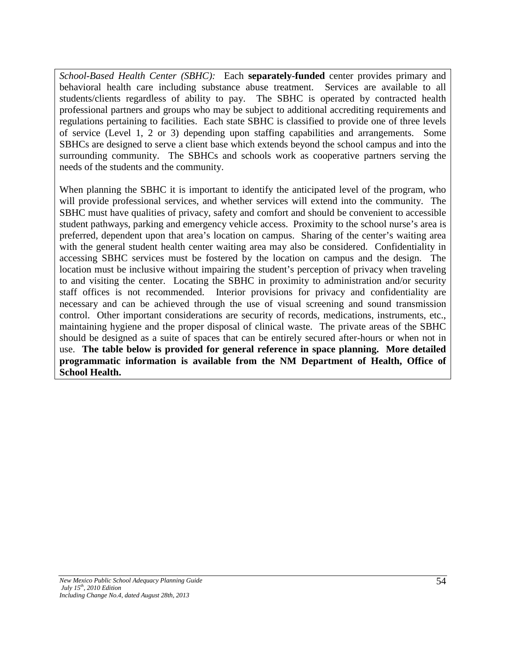*School-Based Health Center (SBHC):* Each **separately-funded** center provides primary and behavioral health care including substance abuse treatment. Services are available to all students/clients regardless of ability to pay. The SBHC is operated by contracted health professional partners and groups who may be subject to additional accrediting requirements and regulations pertaining to facilities. Each state SBHC is classified to provide one of three levels of service (Level 1, 2 or 3) depending upon staffing capabilities and arrangements. Some SBHCs are designed to serve a client base which extends beyond the school campus and into the surrounding community. The SBHCs and schools work as cooperative partners serving the needs of the students and the community.

When planning the SBHC it is important to identify the anticipated level of the program, who will provide professional services, and whether services will extend into the community. The SBHC must have qualities of privacy, safety and comfort and should be convenient to accessible student pathways, parking and emergency vehicle access. Proximity to the school nurse's area is preferred, dependent upon that area's location on campus. Sharing of the center's waiting area with the general student health center waiting area may also be considered. Confidentiality in accessing SBHC services must be fostered by the location on campus and the design. The location must be inclusive without impairing the student's perception of privacy when traveling to and visiting the center. Locating the SBHC in proximity to administration and/or security staff offices is not recommended. Interior provisions for privacy and confidentiality are necessary and can be achieved through the use of visual screening and sound transmission control. Other important considerations are security of records, medications, instruments, etc., maintaining hygiene and the proper disposal of clinical waste. The private areas of the SBHC should be designed as a suite of spaces that can be entirely secured after-hours or when not in use. **The table below is provided for general reference in space planning. More detailed programmatic information is available from the NM Department of Health, Office of School Health.**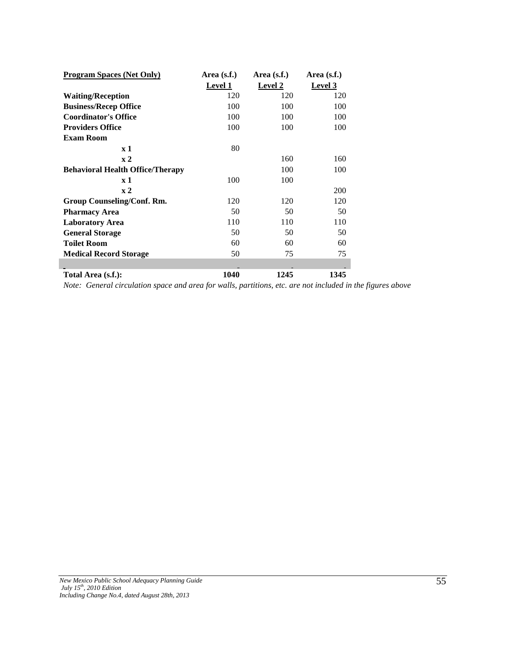| <b>Program Spaces (Net Only)</b>        | Area $(s.f.)$  | Area $(s.f.)$  | Area $(s.f.)$  |  |
|-----------------------------------------|----------------|----------------|----------------|--|
|                                         | <b>Level 1</b> | <b>Level 2</b> | <b>Level 3</b> |  |
| <b>Waiting/Reception</b>                | 120            | 120            | 120            |  |
| <b>Business/Recep Office</b>            | 100            | 100            | 100            |  |
| <b>Coordinator's Office</b>             | 100            | 100            | 100            |  |
| <b>Providers Office</b>                 | 100            | 100            | 100            |  |
| Exam Room                               |                |                |                |  |
| $\mathbf{x}$ 1                          | 80             |                |                |  |
| $\mathbf{x}$ 2                          |                | 160            | 160            |  |
| <b>Behavioral Health Office/Therapy</b> |                | 100            | 100            |  |
| $\mathbf{x}$ 1                          | 100            | 100            |                |  |
| $\mathbf{x}$ 2                          |                |                | 200            |  |
| Group Counseling/Conf. Rm.              | 120            | 120            | 120            |  |
| <b>Pharmacy Area</b>                    | 50             | 50             | 50             |  |
| <b>Laboratory Area</b>                  | 110            | 110            | 110            |  |
| <b>General Storage</b>                  | 50             | 50             | 50             |  |
| <b>Toilet Room</b>                      | 60             | 60             | 60             |  |
| <b>Medical Record Storage</b>           | 50             | 75             | 75             |  |
|                                         |                |                |                |  |
| Total Area (s.f.):                      | 1040           | 1245           | 1345           |  |

*Note: General circulation space and area for walls, partitions, etc. are not included in the figures above*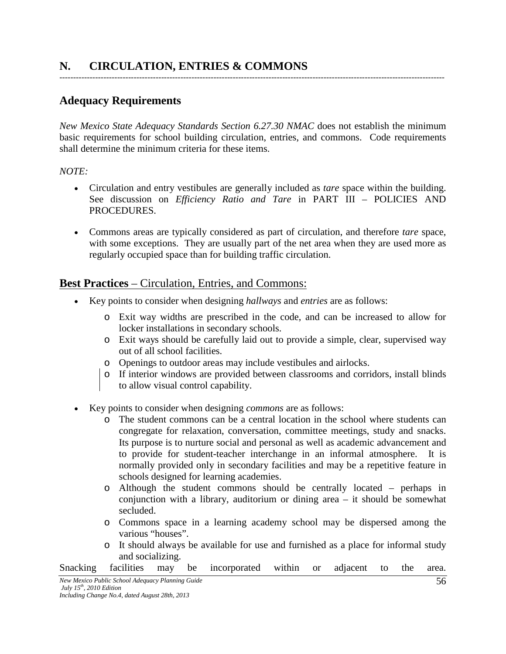# **Adequacy Requirements**

*New Mexico State Adequacy Standards Section 6.27.30 NMAC* does not establish the minimum basic requirements for school building circulation, entries, and commons. Code requirements shall determine the minimum criteria for these items.

--------------------------------------------------------------------------------------------------------------------------------------------

#### *NOTE:*

- Circulation and entry vestibules are generally included as *tare* space within the building. See discussion on *Efficiency Ratio and Tare* in PART III – POLICIES AND PROCEDURES.
- Commons areas are typically considered as part of circulation, and therefore *tare* space, with some exceptions. They are usually part of the net area when they are used more as regularly occupied space than for building traffic circulation.

### **Best Practices** – Circulation, Entries, and Commons:

- Key points to consider when designing *hallways* and *entries* are as follows:
	- o Exit way widths are prescribed in the code, and can be increased to allow for locker installations in secondary schools.
	- o Exit ways should be carefully laid out to provide a simple, clear, supervised way out of all school facilities.
	- o Openings to outdoor areas may include vestibules and airlocks.
	- o If interior windows are provided between classrooms and corridors, install blinds to allow visual control capability.
- Key points to consider when designing *commons* are as follows:
	- o The student commons can be a central location in the school where students can congregate for relaxation, conversation, committee meetings, study and snacks. Its purpose is to nurture social and personal as well as academic advancement and to provide for student-teacher interchange in an informal atmosphere. It is normally provided only in secondary facilities and may be a repetitive feature in schools designed for learning academies.
	- o Although the student commons should be centrally located perhaps in conjunction with a library, auditorium or dining area – it should be somewhat secluded.
	- o Commons space in a learning academy school may be dispersed among the various "houses".
	- o It should always be available for use and furnished as a place for informal study and socializing.
- Snacking facilities may be incorporated within or adjacent to the area.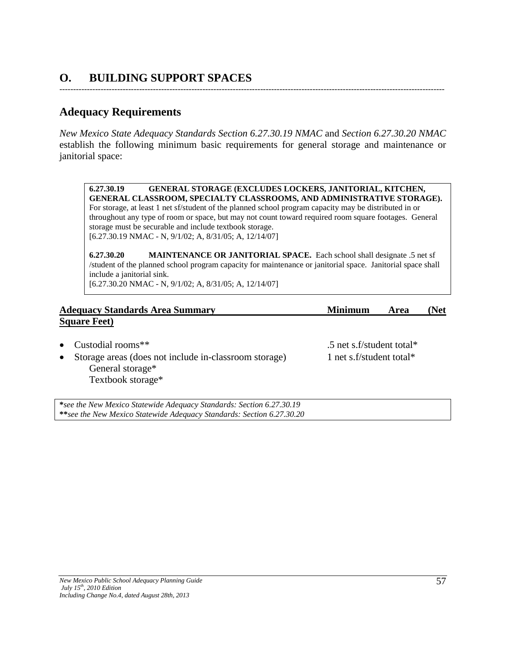# **O. BUILDING SUPPORT SPACES**

# **Adequacy Requirements**

*New Mexico State Adequacy Standards Section 6.27.30.19 NMAC* and *Section 6.27.30.20 NMAC* establish the following minimum basic requirements for general storage and maintenance or janitorial space:

--------------------------------------------------------------------------------------------------------------------------------------------

**6.27.30.19 GENERAL STORAGE (EXCLUDES LOCKERS, JANITORIAL, KITCHEN, GENERAL CLASSROOM, SPECIALTY CLASSROOMS, AND ADMINISTRATIVE STORAGE).** For storage, at least 1 net sf/student of the planned school program capacity may be distributed in or throughout any type of room or space, but may not count toward required room square footages. General storage must be securable and include textbook storage. [6.27.30.19 NMAC - N, 9/1/02; A, 8/31/05; A, 12/14/07]

**6.27.30.20 MAINTENANCE OR JANITORIAL SPACE.** Each school shall designate .5 net sf /student of the planned school program capacity for maintenance or janitorial space. Janitorial space shall include a janitorial sink. [6.27.30.20 NMAC - N, 9/1/02; A, 8/31/05; A, 12/14/07]

| <b>Adequacy Standards Area Summary</b> | <b>Minimum</b> | Area | (Net |
|----------------------------------------|----------------|------|------|
| <b>Square Feet</b> )                   |                |      |      |

- 
- Storage areas (does not include in-classroom storage) 1 net s.f/student total\* General storage\* Textbook storage\*

• Custodial rooms\*\* .5 net s.f/student total\*

**\****see the New Mexico Statewide Adequacy Standards: Section 6.27.30.19* **\*\****see the New Mexico Statewide Adequacy Standards: Section 6.27.30.20*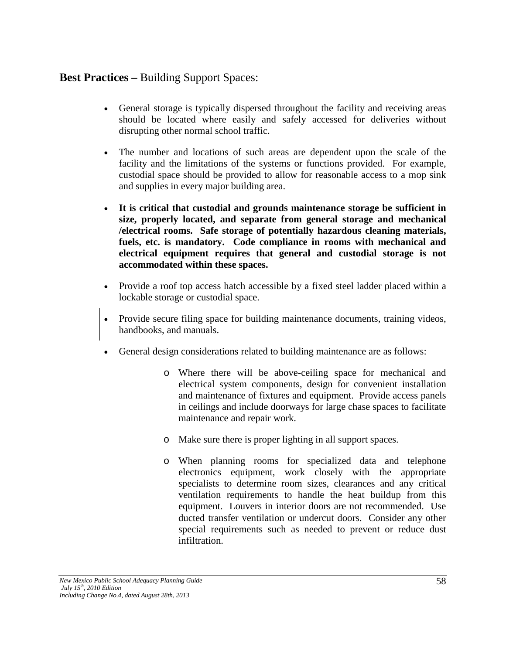## **Best Practices –** Building Support Spaces:

- General storage is typically dispersed throughout the facility and receiving areas should be located where easily and safely accessed for deliveries without disrupting other normal school traffic.
- The number and locations of such areas are dependent upon the scale of the facility and the limitations of the systems or functions provided. For example, custodial space should be provided to allow for reasonable access to a mop sink and supplies in every major building area.
- **It is critical that custodial and grounds maintenance storage be sufficient in size, properly located, and separate from general storage and mechanical /electrical rooms. Safe storage of potentially hazardous cleaning materials, fuels, etc. is mandatory. Code compliance in rooms with mechanical and electrical equipment requires that general and custodial storage is not accommodated within these spaces.**
- Provide a roof top access hatch accessible by a fixed steel ladder placed within a lockable storage or custodial space.
- Provide secure filing space for building maintenance documents, training videos, handbooks, and manuals.
- General design considerations related to building maintenance are as follows:
	- o Where there will be above-ceiling space for mechanical and electrical system components, design for convenient installation and maintenance of fixtures and equipment. Provide access panels in ceilings and include doorways for large chase spaces to facilitate maintenance and repair work.
	- o Make sure there is proper lighting in all support spaces.
	- o When planning rooms for specialized data and telephone electronics equipment, work closely with the appropriate specialists to determine room sizes, clearances and any critical ventilation requirements to handle the heat buildup from this equipment. Louvers in interior doors are not recommended. Use ducted transfer ventilation or undercut doors. Consider any other special requirements such as needed to prevent or reduce dust infiltration.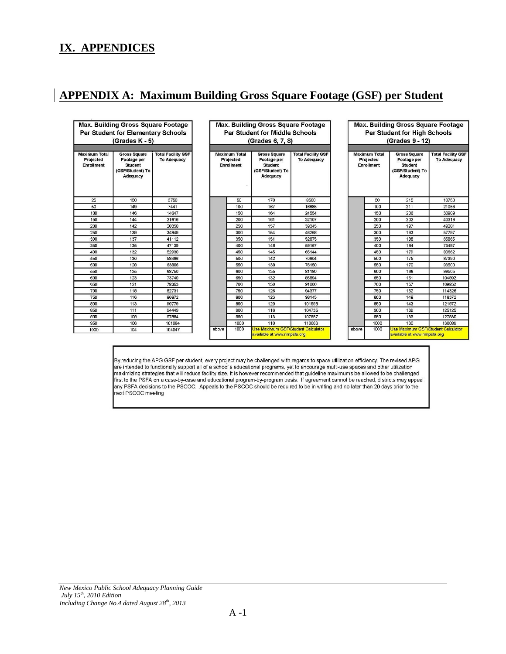# **IX. APPENDICES**

# **APPENDIX A: Maximum Building Gross Square Footage (GSF) per Student**

| Max. Building Gross Square Footage<br>Per Student for Elementary Schools<br>(Grades K - 5) |                                                                                      |                                                 |  | Max. Building Gross Square Footage<br><b>Per Student for Middle Schools</b><br>(Grades 6, 7, 8) |                                                        |                                                                                      |                                                 |       | Max. Building Gross Square Footage<br>Per Student for High Schools<br>(Grades 9 - 12) |                                                                                      |                                                 |  |
|--------------------------------------------------------------------------------------------|--------------------------------------------------------------------------------------|-------------------------------------------------|--|-------------------------------------------------------------------------------------------------|--------------------------------------------------------|--------------------------------------------------------------------------------------|-------------------------------------------------|-------|---------------------------------------------------------------------------------------|--------------------------------------------------------------------------------------|-------------------------------------------------|--|
| <b>Maximum Total</b><br>Projected<br><b>Enrollment</b>                                     | <b>Gross Square</b><br>Footage per<br><b>Student</b><br>(GSF/Student) To<br>Adequacy | <b>Total Facility GSF</b><br><b>To Adequacy</b> |  |                                                                                                 | <b>Maximum Total</b><br>Projected<br><b>Enrollment</b> | <b>Gross Square</b><br>Footage per<br><b>Student</b><br>(GSF/Student) To<br>Adequacy | <b>Total Facility GSF</b><br><b>To Adequacy</b> |       | <b>Maximum Total</b><br>Projected<br><b>Enrollment</b>                                | <b>Gross Square</b><br>Footage per<br><b>Student</b><br>(GSF/Student) To<br>Adequacy | <b>Total Facility GSF</b><br><b>To Adequacy</b> |  |
| 25                                                                                         | 150                                                                                  | 3750                                            |  |                                                                                                 | 50                                                     | 170                                                                                  | 8500                                            |       | 50                                                                                    | 215                                                                                  | 10750                                           |  |
| 50                                                                                         | 149                                                                                  | 7441                                            |  |                                                                                                 | 100                                                    | 167                                                                                  | 16685                                           |       | 100                                                                                   | 211                                                                                  | 21053                                           |  |
| 100                                                                                        | 146                                                                                  | 14647                                           |  |                                                                                                 | 150                                                    | 164                                                                                  | 24554                                           |       | 150                                                                                   | 206                                                                                  | 30909                                           |  |
| 150                                                                                        | 144                                                                                  | 21616                                           |  |                                                                                                 | 200                                                    | 161                                                                                  | 32107                                           |       | 200                                                                                   | 202                                                                                  | 40319                                           |  |
| 200                                                                                        | 142                                                                                  | 28350                                           |  |                                                                                                 | 250                                                    | 157                                                                                  | 39345                                           |       | 250                                                                                   | 197                                                                                  | 49281                                           |  |
| 250                                                                                        | 139                                                                                  | 34849                                           |  |                                                                                                 | 300                                                    | 154                                                                                  | 46268                                           |       | 300                                                                                   | 193                                                                                  | 57797                                           |  |
| 300                                                                                        | 137                                                                                  | 41112                                           |  |                                                                                                 | 350                                                    | 151                                                                                  | 52875                                           |       | 350                                                                                   | 188                                                                                  | 65865                                           |  |
| 350                                                                                        | 135                                                                                  | 47139                                           |  |                                                                                                 | 400                                                    | 148                                                                                  | 59167                                           |       | 400                                                                                   | 184                                                                                  | 73487                                           |  |
| 400                                                                                        | 132                                                                                  | 52930                                           |  |                                                                                                 | 450                                                    | 145                                                                                  | 65144                                           |       | 450                                                                                   | 179                                                                                  | 80662                                           |  |
| 450                                                                                        | 130                                                                                  | 58486                                           |  |                                                                                                 | 500                                                    | 142                                                                                  | 70804                                           |       | 500                                                                                   | 175                                                                                  | 87390                                           |  |
| 500                                                                                        | 128                                                                                  | 63806                                           |  |                                                                                                 | 550                                                    | 138                                                                                  | 76150                                           |       | 550                                                                                   | 170                                                                                  | 93500                                           |  |
| 550                                                                                        | 125                                                                                  | 68750                                           |  |                                                                                                 | 600                                                    | 135                                                                                  | 81180                                           |       | 600                                                                                   | 166                                                                                  | 99505                                           |  |
| 600                                                                                        | 123                                                                                  | 73740                                           |  |                                                                                                 | 650                                                    | 132                                                                                  | 85894                                           |       | 650                                                                                   | 161                                                                                  | 104892                                          |  |
| 650                                                                                        | 121                                                                                  | 78353                                           |  |                                                                                                 | 700                                                    | 130                                                                                  | 91000                                           |       | 700                                                                                   | 157                                                                                  | 109832                                          |  |
| 700                                                                                        | 118                                                                                  | 82731                                           |  |                                                                                                 | 750                                                    | 126                                                                                  | 94377                                           |       | 750                                                                                   | 152                                                                                  | 114326                                          |  |
| 750                                                                                        | 116                                                                                  | 86872                                           |  |                                                                                                 | 800                                                    | 123                                                                                  | 98145                                           |       | 800                                                                                   | 148                                                                                  | 118372                                          |  |
| 800                                                                                        | 113                                                                                  | 90779                                           |  |                                                                                                 | 850                                                    | 120                                                                                  | 101598                                          |       | 850                                                                                   | 143                                                                                  | 121972                                          |  |
| 850                                                                                        | 111                                                                                  | 94449                                           |  |                                                                                                 | 900                                                    | 116                                                                                  | 104735                                          |       | 900                                                                                   | 139                                                                                  | 125125                                          |  |
| 900                                                                                        | 109                                                                                  | 97884                                           |  |                                                                                                 | 950                                                    | 113                                                                                  | 107557                                          |       | 950                                                                                   | 135                                                                                  | 127830                                          |  |
| 950                                                                                        | 106                                                                                  | 101084                                          |  |                                                                                                 | 1000                                                   | 110                                                                                  | 110063                                          |       | 1000                                                                                  | 130                                                                                  | 130089                                          |  |
| 1000                                                                                       | 104                                                                                  | 104047                                          |  | above                                                                                           | 1000                                                   | <b>Use Maximum GSF/Student Calculator</b><br>available at www.nmnefa.org             |                                                 | above | 1000                                                                                  | Use Maximum GSF/Student Calculator<br>available at www.nmnefa.org                    |                                                 |  |

By reducing the APG GSF per student, every project may be challenged with regards to space utilization efficiency. The revised APG are intended to functionally support all of a school's educational programs, yet to encoura any PSFA decisions to the PSCOC. Appeals to the PSCOC should be required to be in writing and no later than 20 days prior to the next PSCOC meeting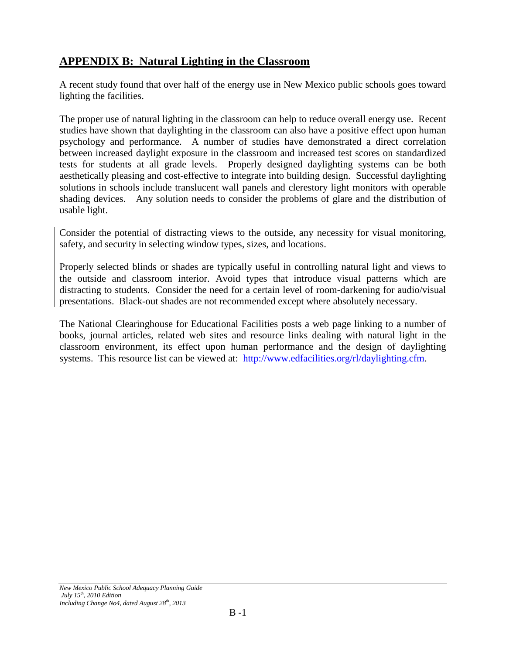# **APPENDIX B: Natural Lighting in the Classroom**

A recent study found that over half of the energy use in New Mexico public schools goes toward lighting the facilities.

The proper use of natural lighting in the classroom can help to reduce overall energy use. Recent studies have shown that daylighting in the classroom can also have a positive effect upon human psychology and performance. A number of studies have demonstrated a direct correlation between increased daylight exposure in the classroom and increased test scores on standardized tests for students at all grade levels. Properly designed daylighting systems can be both aesthetically pleasing and cost-effective to integrate into building design. Successful daylighting solutions in schools include translucent wall panels and clerestory light monitors with operable shading devices. Any solution needs to consider the problems of glare and the distribution of usable light.

Consider the potential of distracting views to the outside, any necessity for visual monitoring, safety, and security in selecting window types, sizes, and locations.

Properly selected blinds or shades are typically useful in controlling natural light and views to the outside and classroom interior. Avoid types that introduce visual patterns which are distracting to students. Consider the need for a certain level of room-darkening for audio/visual presentations. Black-out shades are not recommended except where absolutely necessary.

The National Clearinghouse for Educational Facilities posts a web page linking to a number of books, journal articles, related web sites and resource links dealing with natural light in the classroom environment, its effect upon human performance and the design of daylighting systems. This resource list can be viewed at: [http://www.edfacilities.org/rl/daylighting.cfm.](http://www.edfacilities.org/rl/daylighting.cfm)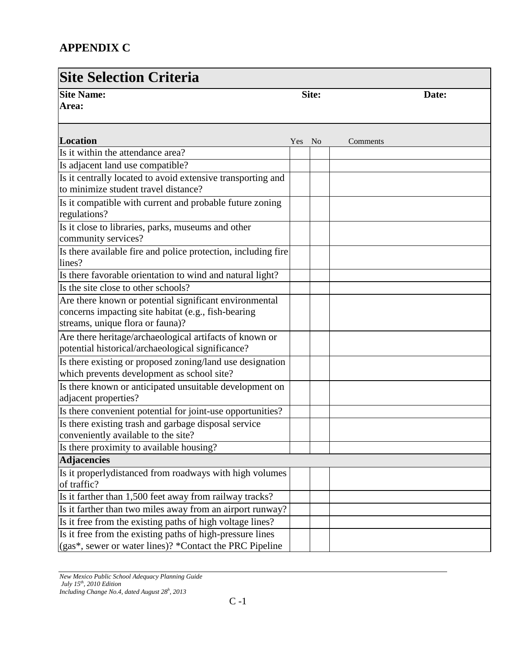# **APPENDIX C**

## **Site Selection Criteria Site Name:** Site: **Site:** Site: **Area: Date: Location** Yes No Comments Is it within the attendance area? Is adjacent land use compatible? Is it centrally located to avoid extensive transporting and to minimize student travel distance? Is it compatible with current and probable future zoning regulations? Is it close to libraries, parks, museums and other community services? Is there available fire and police protection, including fire lines? Is there favorable orientation to wind and natural light? Is the site close to other schools? Are there known or potential significant environmental concerns impacting site habitat (e.g., fish-bearing streams, unique flora or fauna)? Are there heritage/archaeological artifacts of known or potential historical/archaeological significance? Is there existing or proposed zoning/land use designation which prevents development as school site? Is there known or anticipated unsuitable development on adjacent properties? Is there convenient potential for joint-use opportunities? Is there existing trash and garbage disposal service conveniently available to the site? Is there proximity to available housing? **Adjacencies** Is it properlydistanced from roadways with high volumes of traffic? Is it farther than 1,500 feet away from railway tracks? Is it farther than two miles away from an airport runway? Is it free from the existing paths of high voltage lines? Is it free from the existing paths of high-pressure lines (gas\*, sewer or water lines)? \*Contact the PRC Pipeline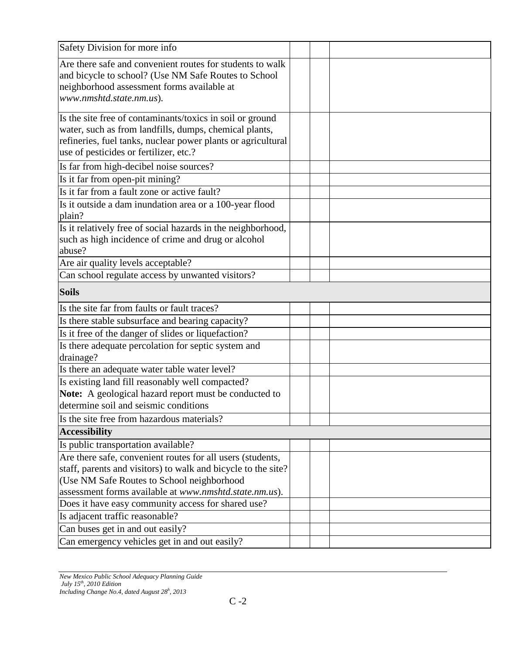| Safety Division for more info                                                                                                                                                                                                       |  |
|-------------------------------------------------------------------------------------------------------------------------------------------------------------------------------------------------------------------------------------|--|
| Are there safe and convenient routes for students to walk<br>and bicycle to school? (Use NM Safe Routes to School<br>neighborhood assessment forms available at<br>www.nmshtd.state.nm.us).                                         |  |
| Is the site free of contaminants/toxics in soil or ground<br>water, such as from landfills, dumps, chemical plants,<br>refineries, fuel tanks, nuclear power plants or agricultural<br>use of pesticides or fertilizer, etc.?       |  |
| Is far from high-decibel noise sources?                                                                                                                                                                                             |  |
| Is it far from open-pit mining?                                                                                                                                                                                                     |  |
| Is it far from a fault zone or active fault?                                                                                                                                                                                        |  |
| Is it outside a dam inundation area or a 100-year flood<br>plain?                                                                                                                                                                   |  |
| Is it relatively free of social hazards in the neighborhood,<br>such as high incidence of crime and drug or alcohol<br>abuse?                                                                                                       |  |
| Are air quality levels acceptable?                                                                                                                                                                                                  |  |
| Can school regulate access by unwanted visitors?                                                                                                                                                                                    |  |
| <b>Soils</b>                                                                                                                                                                                                                        |  |
| Is the site far from faults or fault traces?                                                                                                                                                                                        |  |
| Is there stable subsurface and bearing capacity?                                                                                                                                                                                    |  |
| Is it free of the danger of slides or liquefaction?                                                                                                                                                                                 |  |
| Is there adequate percolation for septic system and<br>drainage?                                                                                                                                                                    |  |
| Is there an adequate water table water level?                                                                                                                                                                                       |  |
| Is existing land fill reasonably well compacted?<br>Note: A geological hazard report must be conducted to<br>determine soil and seismic conditions                                                                                  |  |
| Is the site free from hazardous materials?                                                                                                                                                                                          |  |
| <b>Accessibility</b>                                                                                                                                                                                                                |  |
| Is public transportation available?                                                                                                                                                                                                 |  |
| Are there safe, convenient routes for all users (students,<br>staff, parents and visitors) to walk and bicycle to the site?<br>(Use NM Safe Routes to School neighborhood<br>assessment forms available at www.nmshtd.state.nm.us). |  |
| Does it have easy community access for shared use?                                                                                                                                                                                  |  |
| Is adjacent traffic reasonable?                                                                                                                                                                                                     |  |
| Can buses get in and out easily?                                                                                                                                                                                                    |  |
| Can emergency vehicles get in and out easily?                                                                                                                                                                                       |  |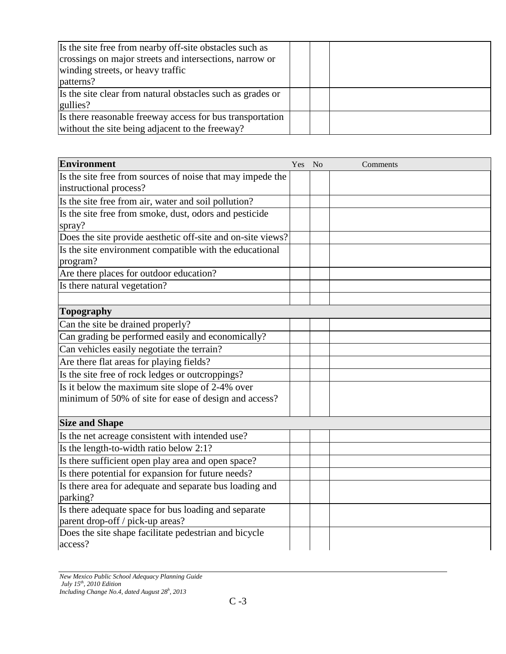| Is the site free from nearby off-site obstacles such as<br>crossings on major streets and intersections, narrow or<br>winding streets, or heavy traffic<br>patterns? |  |  |
|----------------------------------------------------------------------------------------------------------------------------------------------------------------------|--|--|
| Is the site clear from natural obstacles such as grades or<br>gullies?                                                                                               |  |  |
| Is there reasonable freeway access for bus transportation<br>without the site being adjacent to the freeway?                                                         |  |  |

| <b>Environment</b>                                                  | Yes No | Comments |
|---------------------------------------------------------------------|--------|----------|
| Is the site free from sources of noise that may impede the          |        |          |
| instructional process?                                              |        |          |
| Is the site free from air, water and soil pollution?                |        |          |
| Is the site free from smoke, dust, odors and pesticide              |        |          |
| spray?                                                              |        |          |
| Does the site provide aesthetic off-site and on-site views?         |        |          |
| Is the site environment compatible with the educational<br>program? |        |          |
| Are there places for outdoor education?                             |        |          |
| Is there natural vegetation?                                        |        |          |
|                                                                     |        |          |
| <b>Topography</b>                                                   |        |          |
| Can the site be drained properly?                                   |        |          |
| Can grading be performed easily and economically?                   |        |          |
| Can vehicles easily negotiate the terrain?                          |        |          |
| Are there flat areas for playing fields?                            |        |          |
| Is the site free of rock ledges or outcroppings?                    |        |          |
| Is it below the maximum site slope of 2-4% over                     |        |          |
| minimum of 50% of site for ease of design and access?               |        |          |
|                                                                     |        |          |
| <b>Size and Shape</b>                                               |        |          |
| Is the net acreage consistent with intended use?                    |        |          |
| Is the length-to-width ratio below 2:1?                             |        |          |
| Is there sufficient open play area and open space?                  |        |          |
| Is there potential for expansion for future needs?                  |        |          |
| Is there area for adequate and separate bus loading and             |        |          |
| parking?                                                            |        |          |
| Is there adequate space for bus loading and separate                |        |          |
| parent drop-off / pick-up areas?                                    |        |          |
| Does the site shape facilitate pedestrian and bicycle               |        |          |
| access?                                                             |        |          |

*New Mexico Public School Adequacy Planning Guide July 15th, 2010 Edition Including Change No.4, dated August 28<sup>h</sup> , 2013*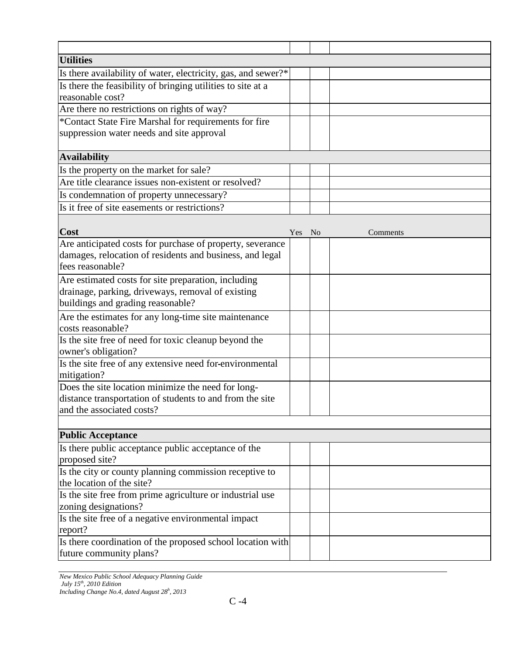| <b>Utilities</b>                                              |        |          |
|---------------------------------------------------------------|--------|----------|
| Is there availability of water, electricity, gas, and sewer?* |        |          |
| Is there the feasibility of bringing utilities to site at a   |        |          |
| reasonable cost?                                              |        |          |
| Are there no restrictions on rights of way?                   |        |          |
| *Contact State Fire Marshal for requirements for fire         |        |          |
| suppression water needs and site approval                     |        |          |
| <b>Availability</b>                                           |        |          |
| Is the property on the market for sale?                       |        |          |
| Are title clearance issues non-existent or resolved?          |        |          |
| Is condemnation of property unnecessary?                      |        |          |
| Is it free of site easements or restrictions?                 |        |          |
|                                                               |        |          |
| Cost                                                          | Yes No | Comments |
| Are anticipated costs for purchase of property, severance     |        |          |
| damages, relocation of residents and business, and legal      |        |          |
| fees reasonable?                                              |        |          |
| Are estimated costs for site preparation, including           |        |          |
| drainage, parking, driveways, removal of existing             |        |          |
| buildings and grading reasonable?                             |        |          |
| Are the estimates for any long-time site maintenance          |        |          |
| costs reasonable?                                             |        |          |
| Is the site free of need for toxic cleanup beyond the         |        |          |
| owner's obligation?                                           |        |          |
| Is the site free of any extensive need for-environmental      |        |          |
| mitigation?                                                   |        |          |
| Does the site location minimize the need for long-            |        |          |
| distance transportation of students to and from the site      |        |          |
| and the associated costs?                                     |        |          |
|                                                               |        |          |
| <b>Public Acceptance</b>                                      |        |          |
| Is there public acceptance public acceptance of the           |        |          |
| proposed site?                                                |        |          |
| Is the city or county planning commission receptive to        |        |          |
| the location of the site?                                     |        |          |
| Is the site free from prime agriculture or industrial use     |        |          |
| zoning designations?                                          |        |          |
| Is the site free of a negative environmental impact           |        |          |
| report?                                                       |        |          |
| Is there coordination of the proposed school location with    |        |          |
| future community plans?                                       |        |          |

*New Mexico Public School Adequacy Planning Guide July 15th, 2010 Edition*

*Including Change No.4, dated August 28<sup>h</sup> , 2013*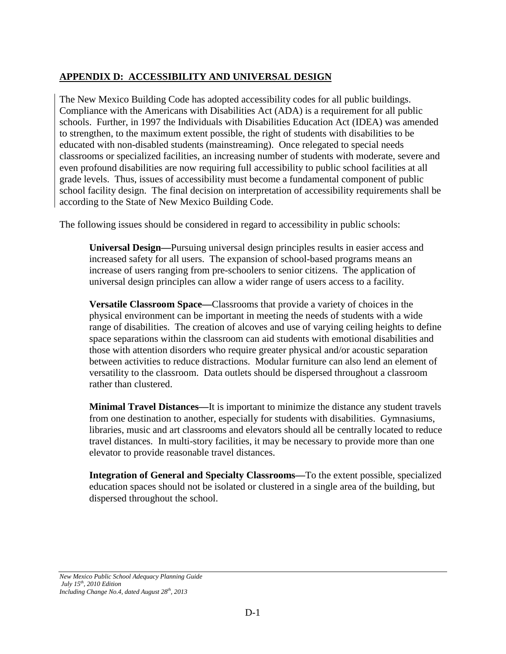### **APPENDIX D: ACCESSIBILITY AND UNIVERSAL DESIGN**

The New Mexico Building Code has adopted accessibility codes for all public buildings. Compliance with the Americans with Disabilities Act (ADA) is a requirement for all public schools. Further, in 1997 the Individuals with Disabilities Education Act (IDEA) was amended to strengthen, to the maximum extent possible, the right of students with disabilities to be educated with non-disabled students (mainstreaming). Once relegated to special needs classrooms or specialized facilities, an increasing number of students with moderate, severe and even profound disabilities are now requiring full accessibility to public school facilities at all grade levels. Thus, issues of accessibility must become a fundamental component of public school facility design. The final decision on interpretation of accessibility requirements shall be according to the State of New Mexico Building Code.

The following issues should be considered in regard to accessibility in public schools:

**Universal Design—**Pursuing universal design principles results in easier access and increased safety for all users. The expansion of school-based programs means an increase of users ranging from pre-schoolers to senior citizens. The application of universal design principles can allow a wider range of users access to a facility.

**Versatile Classroom Space—**Classrooms that provide a variety of choices in the physical environment can be important in meeting the needs of students with a wide range of disabilities. The creation of alcoves and use of varying ceiling heights to define space separations within the classroom can aid students with emotional disabilities and those with attention disorders who require greater physical and/or acoustic separation between activities to reduce distractions. Modular furniture can also lend an element of versatility to the classroom. Data outlets should be dispersed throughout a classroom rather than clustered.

**Minimal Travel Distances—**It is important to minimize the distance any student travels from one destination to another, especially for students with disabilities. Gymnasiums, libraries, music and art classrooms and elevators should all be centrally located to reduce travel distances. In multi-story facilities, it may be necessary to provide more than one elevator to provide reasonable travel distances.

**Integration of General and Specialty Classrooms—**To the extent possible, specialized education spaces should not be isolated or clustered in a single area of the building, but dispersed throughout the school.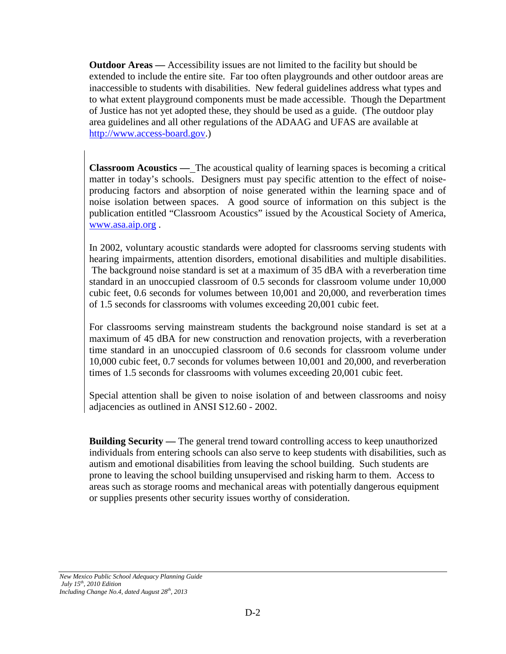**Outdoor Areas —** Accessibility issues are not limited to the facility but should be extended to include the entire site. Far too often playgrounds and other outdoor areas are inaccessible to students with disabilities. New federal guidelines address what types and to what extent playground components must be made accessible. Though the Department of Justice has not yet adopted these, they should be used as a guide. (The outdoor play area guidelines and all other regulations of the ADAAG and UFAS are available at [http://www.access-board.gov.](http://www.acess-board.gov/))

**Classroom Acoustics — The acoustical quality of learning spaces is becoming a critical** matter in today's schools. Designers must pay specific attention to the effect of noiseproducing factors and absorption of noise generated within the learning space and of noise isolation between spaces. A good source of information on this subject is the publication entitled "Classroom Acoustics" issued by the Acoustical Society of America, [www.asa.aip.org](http://www.asa.aip.org/) .

In 2002, voluntary acoustic standards were adopted for classrooms serving students with hearing impairments, attention disorders, emotional disabilities and multiple disabilities. The background noise standard is set at a maximum of 35 dBA with a reverberation time standard in an unoccupied classroom of 0.5 seconds for classroom volume under 10,000 cubic feet, 0.6 seconds for volumes between 10,001 and 20,000, and reverberation times of 1.5 seconds for classrooms with volumes exceeding 20,001 cubic feet.

For classrooms serving mainstream students the background noise standard is set at a maximum of 45 dBA for new construction and renovation projects, with a reverberation time standard in an unoccupied classroom of 0.6 seconds for classroom volume under 10,000 cubic feet, 0.7 seconds for volumes between 10,001 and 20,000, and reverberation times of 1.5 seconds for classrooms with volumes exceeding 20,001 cubic feet.

Special attention shall be given to noise isolation of and between classrooms and noisy adjacencies as outlined in ANSI S12.60 - 2002.

**Building Security —** The general trend toward controlling access to keep unauthorized individuals from entering schools can also serve to keep students with disabilities, such as autism and emotional disabilities from leaving the school building. Such students are prone to leaving the school building unsupervised and risking harm to them. Access to areas such as storage rooms and mechanical areas with potentially dangerous equipment or supplies presents other security issues worthy of consideration.